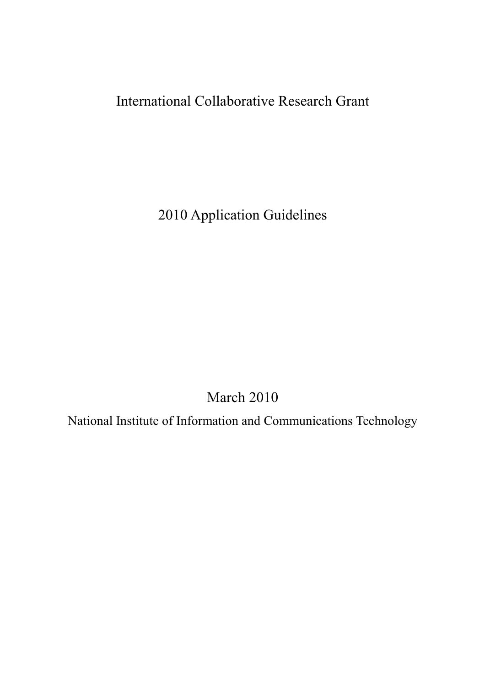# International Collaborative Research Grant

2010 Application Guidelines

March 2010

National Institute of Information and Communications Technology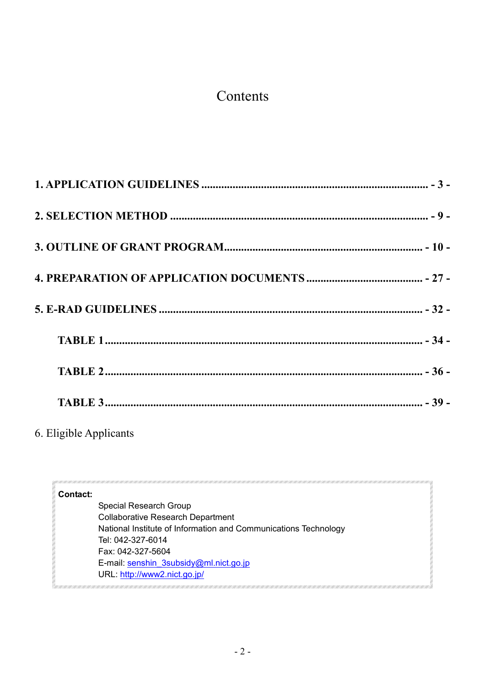# Contents

6. Eligible Applicants

| <b>Contact:</b> |  |
|-----------------|--|
|                 |  |

Special Research Group Collaborative Research Department National Institute of Information and Communications Technology Tel: 042-327-6014 Fax: 042-327-5604 E-mail: senshin\_3subsidy@ml.nict.go.jp URL: http://www2.nict.go.jp/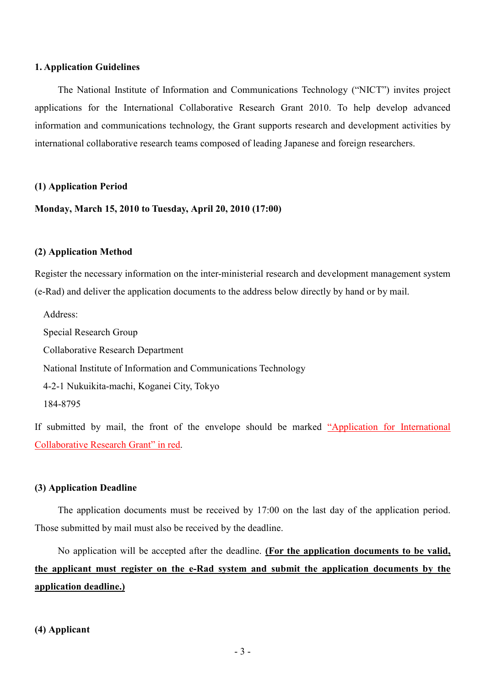#### **1. Application Guidelines**

The National Institute of Information and Communications Technology ("NICT") invites project applications for the International Collaborative Research Grant 2010. To help develop advanced information and communications technology, the Grant supports research and development activities by international collaborative research teams composed of leading Japanese and foreign researchers.

#### **(1) Application Period**

**Monday, March 15, 2010 to Tuesday, April 20, 2010 (17:00)**

#### **(2) Application Method**

Register the necessary information on the inter-ministerial research and development management system (e-Rad) and deliver the application documents to the address below directly by hand or by mail.

Address:

Special Research Group

Collaborative Research Department

National Institute of Information and Communications Technology

4-2-1 Nukuikita-machi, Koganei City, Tokyo

```
184-8795
```
If submitted by mail, the front of the envelope should be marked "Application for International Collaborative Research Grant" in red.

#### **(3) Application Deadline**

The application documents must be received by 17:00 on the last day of the application period. Those submitted by mail must also be received by the deadline.

No application will be accepted after the deadline. **(For the application documents to be valid, the applicant must register on the e-Rad system and submit the application documents by the application deadline.)**

**(4) Applicant**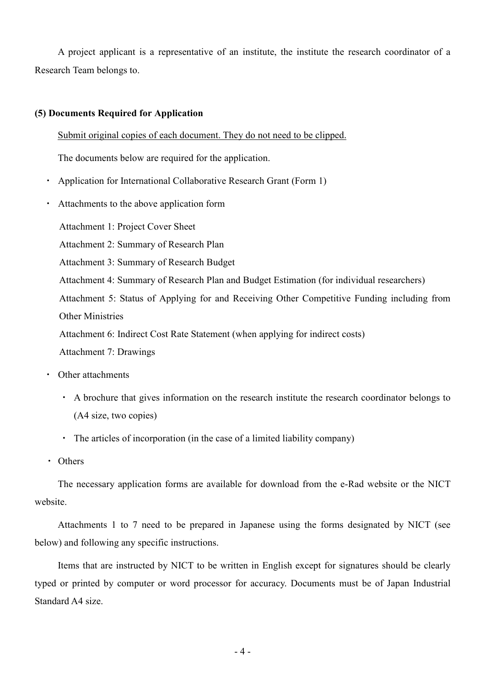A project applicant is a representative of an institute, the institute the research coordinator of a Research Team belongs to.

## **(5) Documents Required for Application**

Submit original copies of each document. They do not need to be clipped.

The documents below are required for the application.

- Application for International Collaborative Research Grant (Form 1)
- ・ Attachments to the above application form

Attachment 1: Project Cover Sheet

- Attachment 2: Summary of Research Plan
- Attachment 3: Summary of Research Budget
- Attachment 4: Summary of Research Plan and Budget Estimation (for individual researchers)

Attachment 5: Status of Applying for and Receiving Other Competitive Funding including from Other Ministries

Attachment 6: Indirect Cost Rate Statement (when applying for indirect costs)

Attachment 7: Drawings

- ・ Other attachments
	- ・ A brochure that gives information on the research institute the research coordinator belongs to (A4 size, two copies)
	- ・ The articles of incorporation (in the case of a limited liability company)
- ・ Others

The necessary application forms are available for download from the e-Rad website or the NICT website.

Attachments 1 to 7 need to be prepared in Japanese using the forms designated by NICT (see below) and following any specific instructions.

Items that are instructed by NICT to be written in English except for signatures should be clearly typed or printed by computer or word processor for accuracy. Documents must be of Japan Industrial Standard A4 size.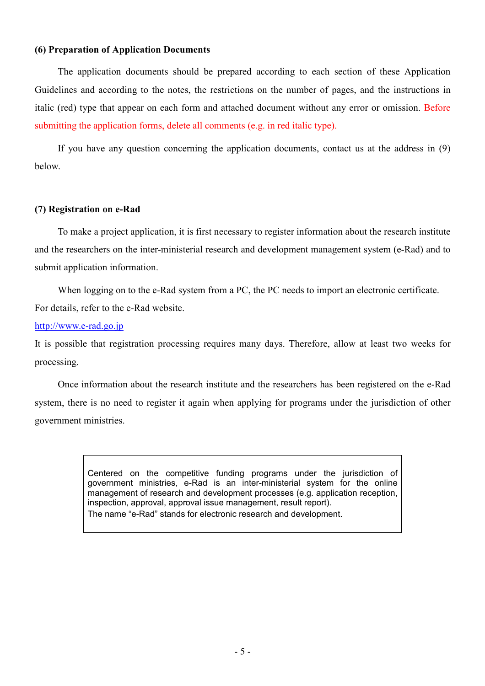### **(6) Preparation of Application Documents**

The application documents should be prepared according to each section of these Application Guidelines and according to the notes, the restrictions on the number of pages, and the instructions in italic (red) type that appear on each form and attached document without any error or omission. Before submitting the application forms, delete all comments (e.g. in red italic type).

If you have any question concerning the application documents, contact us at the address in (9) below.

## **(7) Registration on e-Rad**

To make a project application, it is first necessary to register information about the research institute and the researchers on the inter-ministerial research and development management system (e-Rad) and to submit application information.

When logging on to the e-Rad system from a PC, the PC needs to import an electronic certificate. For details, refer to the e-Rad website.

http://www.e-rad.go.jp

It is possible that registration processing requires many days. Therefore, allow at least two weeks for processing.

Once information about the research institute and the researchers has been registered on the e-Rad system, there is no need to register it again when applying for programs under the jurisdiction of other government ministries.

> Centered on the competitive funding programs under the jurisdiction of government ministries, e-Rad is an inter-ministerial system for the online management of research and development processes (e.g. application reception, inspection, approval, approval issue management, result report). The name "e-Rad" stands for electronic research and development.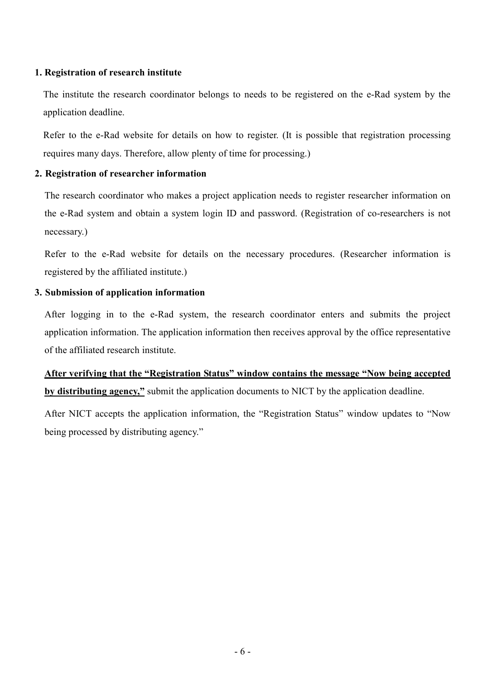## **1. Registration of research institute**

The institute the research coordinator belongs to needs to be registered on the e-Rad system by the application deadline.

Refer to the e-Rad website for details on how to register. (It is possible that registration processing requires many days. Therefore, allow plenty of time for processing.)

## **2. Registration of researcher information**

The research coordinator who makes a project application needs to register researcher information on the e-Rad system and obtain a system login ID and password. (Registration of co-researchers is not necessary.)

Refer to the e-Rad website for details on the necessary procedures. (Researcher information is registered by the affiliated institute.)

## **3. Submission of application information**

After logging in to the e-Rad system, the research coordinator enters and submits the project application information. The application information then receives approval by the office representative of the affiliated research institute.

## **After verifying that the "Registration Status" window contains the message "Now being accepted by distributing agency,"** submit the application documents to NICT by the application deadline.

After NICT accepts the application information, the "Registration Status" window updates to "Now being processed by distributing agency."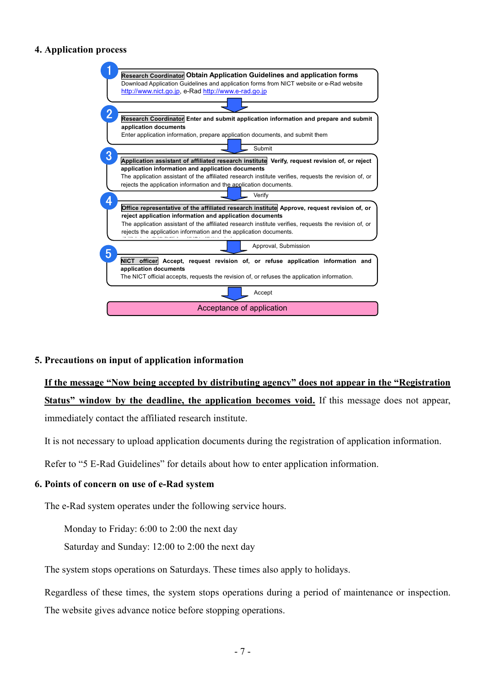## **4. Application process**



### **5. Precautions on input of application information**

**If the message "Now being accepted by distributing agency" does not appear in the "Registration Status" window by the deadline, the application becomes void.** If this message does not appear, immediately contact the affiliated research institute.

It is not necessary to upload application documents during the registration of application information.

Refer to "5 E-Rad Guidelines" for details about how to enter application information.

### **6. Points of concern on use of e-Rad system**

The e-Rad system operates under the following service hours.

Monday to Friday: 6:00 to 2:00 the next day

Saturday and Sunday: 12:00 to 2:00 the next day

The system stops operations on Saturdays. These times also apply to holidays.

Regardless of these times, the system stops operations during a period of maintenance or inspection. The website gives advance notice before stopping operations.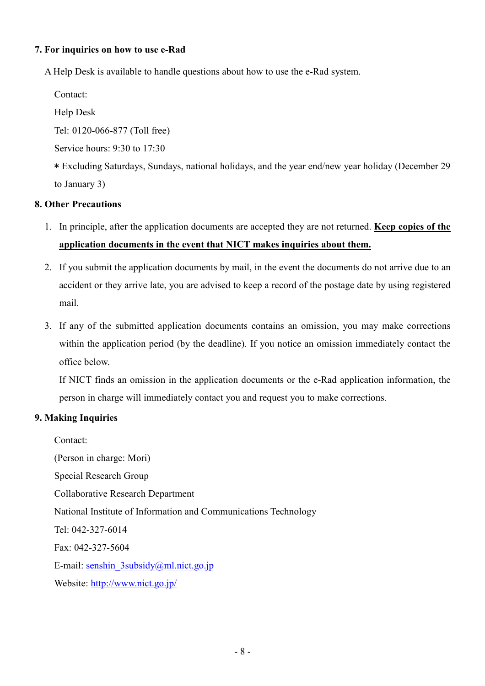## **7. For inquiries on how to use e-Rad**

A Help Desk is available to handle questions about how to use the e-Rad system.

Contact:

Help Desk

Tel: 0120-066-877 (Toll free)

Service hours: 9:30 to 17:30

\* Excluding Saturdays, Sundays, national holidays, and the year end/new year holiday (December 29 to January 3)

## **8. Other Precautions**

- 1. In principle, after the application documents are accepted they are not returned. **Keep copies of the application documents in the event that NICT makes inquiries about them.**
- 2. If you submit the application documents by mail, in the event the documents do not arrive due to an accident or they arrive late, you are advised to keep a record of the postage date by using registered mail.
- 3. If any of the submitted application documents contains an omission, you may make corrections within the application period (by the deadline). If you notice an omission immediately contact the office below.

If NICT finds an omission in the application documents or the e-Rad application information, the person in charge will immediately contact you and request you to make corrections.

## **9. Making Inquiries**

Contact: (Person in charge: Mori) Special Research Group Collaborative Research Department National Institute of Information and Communications Technology Tel: 042-327-6014 Fax: 042-327-5604 E-mail: senshin\_3subsidy@ml.nict.go.jp Website: http://www.nict.go.jp/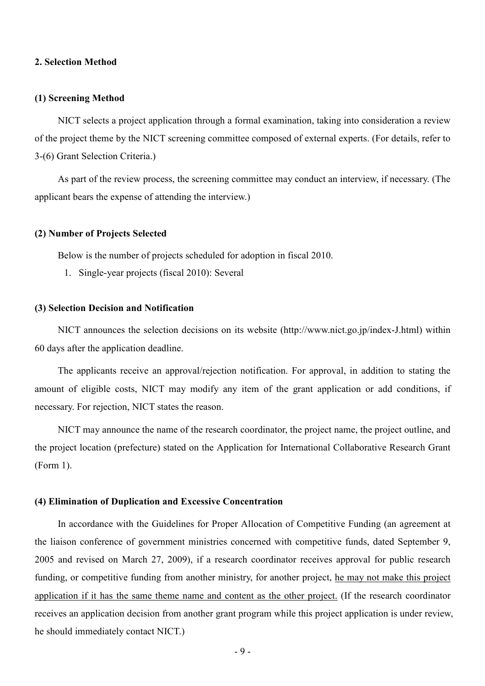#### **2. Selection Method**

#### **(1) Screening Method**

NICT selects a project application through a formal examination, taking into consideration a review of the project theme by the NICT screening committee composed of external experts. (For details, refer to 3-(6) Grant Selection Criteria.)

As part of the review process, the screening committee may conduct an interview, if necessary. (The applicant bears the expense of attending the interview.)

#### **(2) Number of Projects Selected**

Below is the number of projects scheduled for adoption in fiscal 2010.

1. Single-year projects (fiscal 2010): Several

#### **(3) Selection Decision and Notification**

NICT announces the selection decisions on its website (http://www.nict.go.jp/index-J.html) within 60 days after the application deadline.

The applicants receive an approval/rejection notification. For approval, in addition to stating the amount of eligible costs, NICT may modify any item of the grant application or add conditions, if necessary. For rejection, NICT states the reason.

NICT may announce the name of the research coordinator, the project name, the project outline, and the project location (prefecture) stated on the Application for International Collaborative Research Grant (Form 1).

#### **(4) Elimination of Duplication and Excessive Concentration**

In accordance with the Guidelines for Proper Allocation of Competitive Funding (an agreement at the liaison conference of government ministries concerned with competitive funds, dated September 9, 2005 and revised on March 27, 2009), if a research coordinator receives approval for public research funding, or competitive funding from another ministry, for another project, he may not make this project application if it has the same theme name and content as the other project. (If the research coordinator receives an application decision from another grant program while this project application is under review, he should immediately contact NICT.)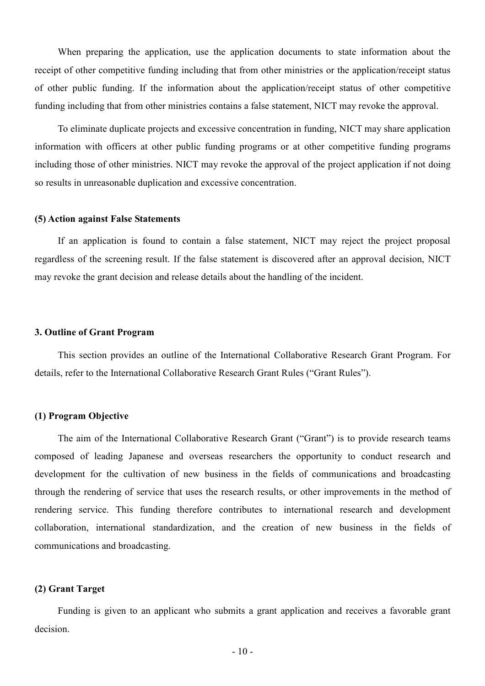When preparing the application, use the application documents to state information about the receipt of other competitive funding including that from other ministries or the application/receipt status of other public funding. If the information about the application/receipt status of other competitive funding including that from other ministries contains a false statement, NICT may revoke the approval.

To eliminate duplicate projects and excessive concentration in funding, NICT may share application information with officers at other public funding programs or at other competitive funding programs including those of other ministries. NICT may revoke the approval of the project application if not doing so results in unreasonable duplication and excessive concentration.

#### **(5) Action against False Statements**

If an application is found to contain a false statement, NICT may reject the project proposal regardless of the screening result. If the false statement is discovered after an approval decision, NICT may revoke the grant decision and release details about the handling of the incident.

#### **3. Outline of Grant Program**

This section provides an outline of the International Collaborative Research Grant Program. For details, refer to the International Collaborative Research Grant Rules ("Grant Rules").

#### **(1) Program Objective**

The aim of the International Collaborative Research Grant ("Grant") is to provide research teams composed of leading Japanese and overseas researchers the opportunity to conduct research and development for the cultivation of new business in the fields of communications and broadcasting through the rendering of service that uses the research results, or other improvements in the method of rendering service. This funding therefore contributes to international research and development collaboration, international standardization, and the creation of new business in the fields of communications and broadcasting.

#### **(2) Grant Target**

Funding is given to an applicant who submits a grant application and receives a favorable grant decision.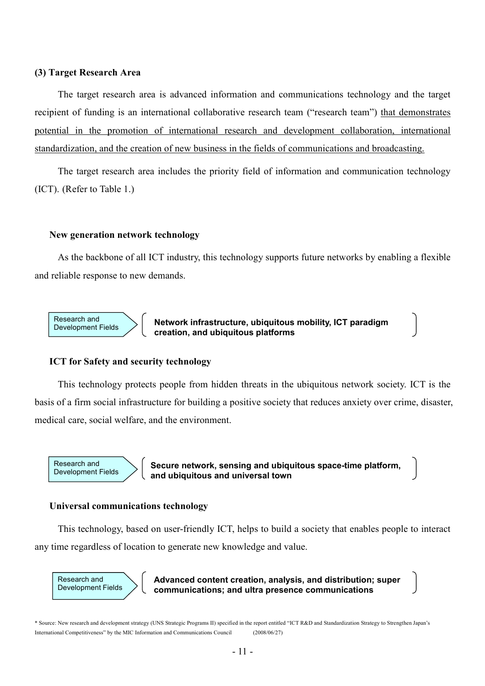#### **(3) Target Research Area**

The target research area is advanced information and communications technology and the target recipient of funding is an international collaborative research team ("research team") that demonstrates potential in the promotion of international research and development collaboration, international standardization, and the creation of new business in the fields of communications and broadcasting.

The target research area includes the priority field of information and communication technology (ICT). (Refer to Table 1.)

#### **New generation network technology**

As the backbone of all ICT industry, this technology supports future networks by enabling a flexible and reliable response to new demands.



**Network infrastructure, ubiquitous mobility, ICT paradigm creation, and ubiquitous platforms**

#### **ICT for Safety and security technology**

This technology protects people from hidden threats in the ubiquitous network society. ICT is the basis of a firm social infrastructure for building a positive society that reduces anxiety over crime, disaster, medical care, social welfare, and the environment.



**Secure network, sensing and ubiquitous space-time platform, and ubiquitous and universal town**

#### **Universal communications technology**

ſ

This technology, based on user-friendly ICT, helps to build a society that enables people to interact any time regardless of location to generate new knowledge and value.



**Advanced content creation, analysis, and distribution; super communications; and ultra presence communications**

\* Source: New research and development strategy (UNS Strategic Programs II) specified in the report entitled "ICT R&D and Standardization Strategy to Strengthen Japan's International Competitiveness" by the MIC Information and Communications Council (2008/06/27)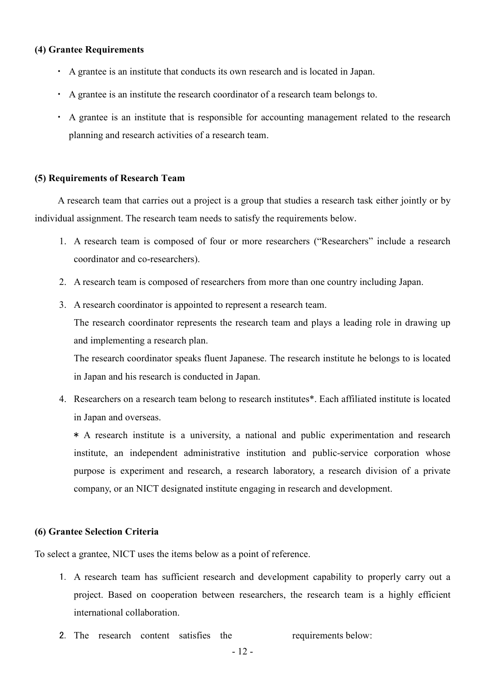## **(4) Grantee Requirements**

- ・ A grantee is an institute that conducts its own research and is located in Japan.
- ・ A grantee is an institute the research coordinator of a research team belongs to.
- ・ A grantee is an institute that is responsible for accounting management related to the research planning and research activities of a research team.

#### **(5) Requirements of Research Team**

A research team that carries out a project is a group that studies a research task either jointly or by individual assignment. The research team needs to satisfy the requirements below.

- 1. A research team is composed of four or more researchers ("Researchers" include a research coordinator and co-researchers).
- 2. A research team is composed of researchers from more than one country including Japan.
- 3. A research coordinator is appointed to represent a research team.

The research coordinator represents the research team and plays a leading role in drawing up and implementing a research plan.

The research coordinator speaks fluent Japanese. The research institute he belongs to is located in Japan and his research is conducted in Japan.

4. Researchers on a research team belong to research institutes\*. Each affiliated institute is located in Japan and overseas.

\* A research institute is a university, a national and public experimentation and research institute, an independent administrative institution and public-service corporation whose purpose is experiment and research, a research laboratory, a research division of a private company, or an NICT designated institute engaging in research and development.

## **(6) Grantee Selection Criteria**

To select a grantee, NICT uses the items below as a point of reference.

- 1. A research team has sufficient research and development capability to properly carry out a project. Based on cooperation between researchers, the research team is a highly efficient international collaboration.
- 2. The research content satisfies the requirements below: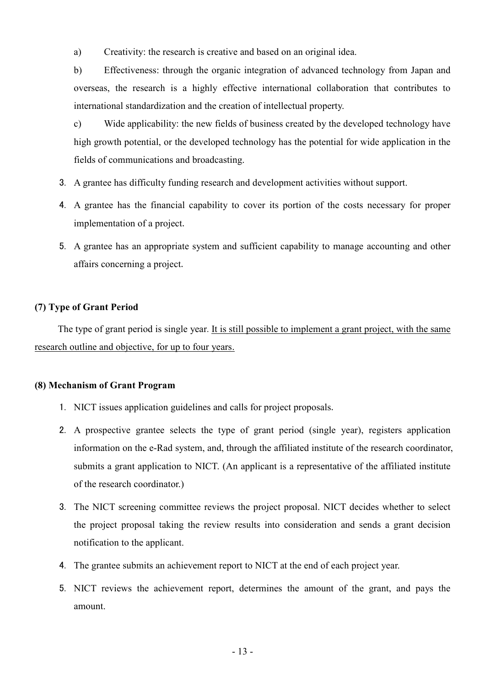a) Creativity: the research is creative and based on an original idea.

b) Effectiveness: through the organic integration of advanced technology from Japan and overseas, the research is a highly effective international collaboration that contributes to international standardization and the creation of intellectual property.

c) Wide applicability: the new fields of business created by the developed technology have high growth potential, or the developed technology has the potential for wide application in the fields of communications and broadcasting.

- 3. A grantee has difficulty funding research and development activities without support.
- 4. A grantee has the financial capability to cover its portion of the costs necessary for proper implementation of a project.
- 5. A grantee has an appropriate system and sufficient capability to manage accounting and other affairs concerning a project.

### **(7) Type of Grant Period**

The type of grant period is single year. It is still possible to implement a grant project, with the same research outline and objective, for up to four years.

#### **(8) Mechanism of Grant Program**

- 1. NICT issues application guidelines and calls for project proposals.
- 2. A prospective grantee selects the type of grant period (single year), registers application information on the e-Rad system, and, through the affiliated institute of the research coordinator, submits a grant application to NICT. (An applicant is a representative of the affiliated institute of the research coordinator.)
- 3. The NICT screening committee reviews the project proposal. NICT decides whether to select the project proposal taking the review results into consideration and sends a grant decision notification to the applicant.
- 4. The grantee submits an achievement report to NICT at the end of each project year.
- 5. NICT reviews the achievement report, determines the amount of the grant, and pays the amount.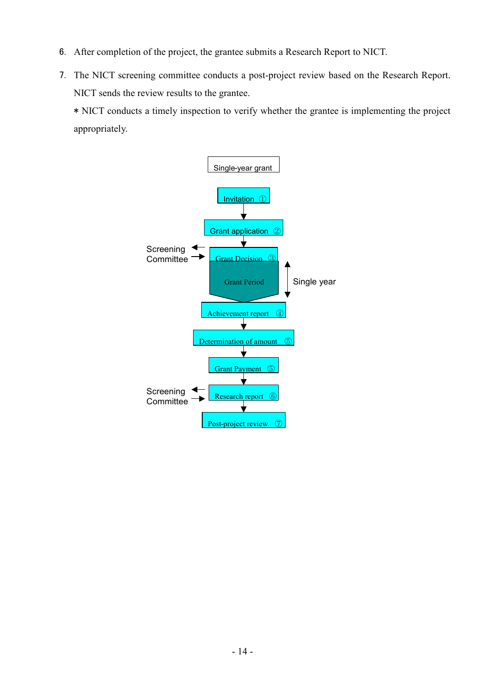- 6. After completion of the project, the grantee submits a Research Report to NICT.
- 7. The NICT screening committee conducts a post-project review based on the Research Report. NICT sends the review results to the grantee.

\* NICT conducts a timely inspection to verify whether the grantee is implementing the project appropriately.

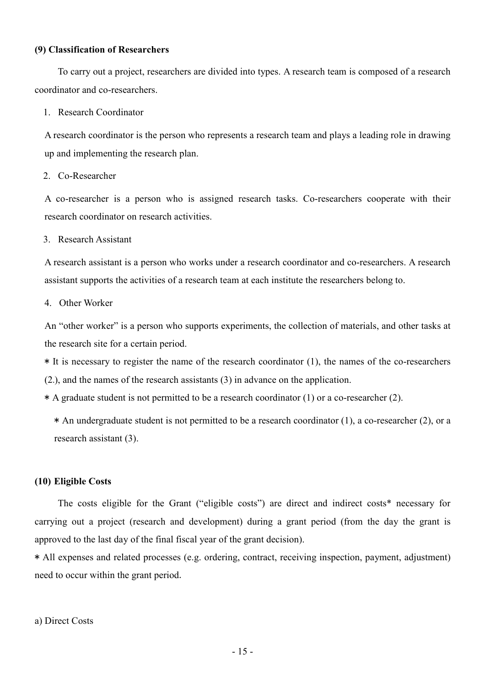### **(9) Classification of Researchers**

To carry out a project, researchers are divided into types. A research team is composed of a research coordinator and co-researchers.

#### 1. Research Coordinator

A research coordinator is the person who represents a research team and plays a leading role in drawing up and implementing the research plan.

## 2. Co-Researcher

A co-researcher is a person who is assigned research tasks. Co-researchers cooperate with their research coordinator on research activities.

#### 3. Research Assistant

A research assistant is a person who works under a research coordinator and co-researchers. A research assistant supports the activities of a research team at each institute the researchers belong to.

### 4. Other Worker

An "other worker" is a person who supports experiments, the collection of materials, and other tasks at the research site for a certain period.

\* It is necessary to register the name of the research coordinator (1), the names of the co-researchers

(2.), and the names of the research assistants (3) in advance on the application.

\* A graduate student is not permitted to be a research coordinator (1) or a co-researcher (2).

 $*$  An undergraduate student is not permitted to be a research coordinator (1), a co-researcher (2), or a research assistant (3).

#### **(10) Eligible Costs**

The costs eligible for the Grant ("eligible costs") are direct and indirect costs\* necessary for carrying out a project (research and development) during a grant period (from the day the grant is approved to the last day of the final fiscal year of the grant decision).

\* All expenses and related processes (e.g. ordering, contract, receiving inspection, payment, adjustment) need to occur within the grant period.

#### a) Direct Costs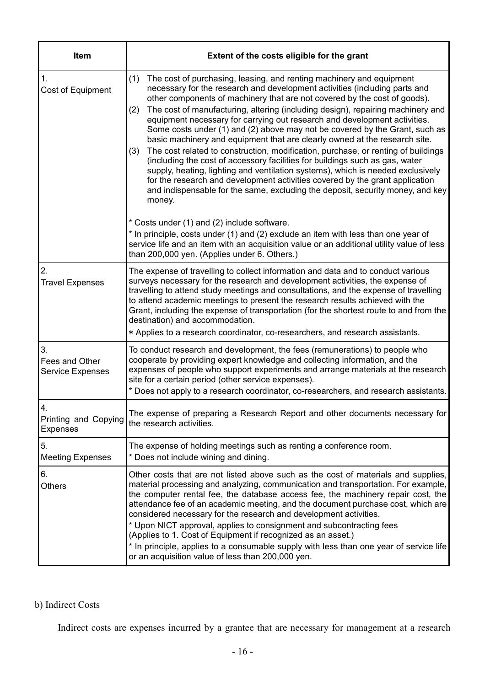| Item                                     | Extent of the costs eligible for the grant                                                                                                                                                                                                                                                                                                                                                                                                                                                                                                                                                                                                                                                                                                                                                                                                                                                                                                                                                                                                                                                                                                                                                                                                                                                              |  |  |
|------------------------------------------|---------------------------------------------------------------------------------------------------------------------------------------------------------------------------------------------------------------------------------------------------------------------------------------------------------------------------------------------------------------------------------------------------------------------------------------------------------------------------------------------------------------------------------------------------------------------------------------------------------------------------------------------------------------------------------------------------------------------------------------------------------------------------------------------------------------------------------------------------------------------------------------------------------------------------------------------------------------------------------------------------------------------------------------------------------------------------------------------------------------------------------------------------------------------------------------------------------------------------------------------------------------------------------------------------------|--|--|
| 1.<br>Cost of Equipment                  | The cost of purchasing, leasing, and renting machinery and equipment<br>(1)<br>necessary for the research and development activities (including parts and<br>other components of machinery that are not covered by the cost of goods).<br>The cost of manufacturing, altering (including design), repairing machinery and<br>(2)<br>equipment necessary for carrying out research and development activities.<br>Some costs under (1) and (2) above may not be covered by the Grant, such as<br>basic machinery and equipment that are clearly owned at the research site.<br>The cost related to construction, modification, purchase, or renting of buildings<br>(3)<br>(including the cost of accessory facilities for buildings such as gas, water<br>supply, heating, lighting and ventilation systems), which is needed exclusively<br>for the research and development activities covered by the grant application<br>and indispensable for the same, excluding the deposit, security money, and key<br>money.<br>* Costs under (1) and (2) include software.<br>* In principle, costs under (1) and (2) exclude an item with less than one year of<br>service life and an item with an acquisition value or an additional utility value of less<br>than 200,000 yen. (Applies under 6. Others.) |  |  |
| 2.<br><b>Travel Expenses</b>             | The expense of travelling to collect information and data and to conduct various<br>surveys necessary for the research and development activities, the expense of<br>travelling to attend study meetings and consultations, and the expense of travelling<br>to attend academic meetings to present the research results achieved with the<br>Grant, including the expense of transportation (for the shortest route to and from the<br>destination) and accommodation.<br>* Applies to a research coordinator, co-researchers, and research assistants.                                                                                                                                                                                                                                                                                                                                                                                                                                                                                                                                                                                                                                                                                                                                                |  |  |
| 3.<br>Fees and Other<br>Service Expenses | To conduct research and development, the fees (remunerations) to people who<br>cooperate by providing expert knowledge and collecting information, and the<br>expenses of people who support experiments and arrange materials at the research<br>site for a certain period (other service expenses).<br>* Does not apply to a research coordinator, co-researchers, and research assistants.                                                                                                                                                                                                                                                                                                                                                                                                                                                                                                                                                                                                                                                                                                                                                                                                                                                                                                           |  |  |
| 4.<br>Printing and Copying<br>Expenses   | The expense of preparing a Research Report and other documents necessary for<br>the research activities.                                                                                                                                                                                                                                                                                                                                                                                                                                                                                                                                                                                                                                                                                                                                                                                                                                                                                                                                                                                                                                                                                                                                                                                                |  |  |
| 5.<br><b>Meeting Expenses</b>            | The expense of holding meetings such as renting a conference room.<br>* Does not include wining and dining.                                                                                                                                                                                                                                                                                                                                                                                                                                                                                                                                                                                                                                                                                                                                                                                                                                                                                                                                                                                                                                                                                                                                                                                             |  |  |
| 6.<br><b>Others</b>                      | Other costs that are not listed above such as the cost of materials and supplies,<br>material processing and analyzing, communication and transportation. For example,<br>the computer rental fee, the database access fee, the machinery repair cost, the<br>attendance fee of an academic meeting, and the document purchase cost, which are<br>considered necessary for the research and development activities.<br>* Upon NICT approval, applies to consignment and subcontracting fees<br>(Applies to 1. Cost of Equipment if recognized as an asset.)<br>* In principle, applies to a consumable supply with less than one year of service life<br>or an acquisition value of less than 200,000 yen.                                                                                                                                                                                                                                                                                                                                                                                                                                                                                                                                                                                              |  |  |

## b) Indirect Costs

Indirect costs are expenses incurred by a grantee that are necessary for management at a research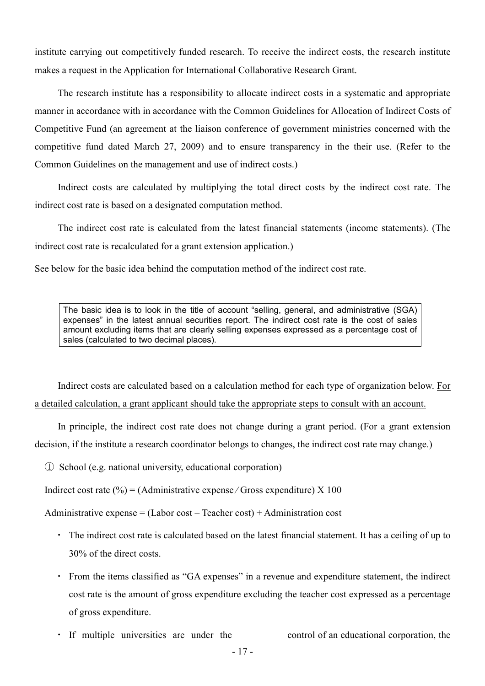institute carrying out competitively funded research. To receive the indirect costs, the research institute makes a request in the Application for International Collaborative Research Grant.

The research institute has a responsibility to allocate indirect costs in a systematic and appropriate manner in accordance with in accordance with the Common Guidelines for Allocation of Indirect Costs of Competitive Fund (an agreement at the liaison conference of government ministries concerned with the competitive fund dated March 27, 2009) and to ensure transparency in the their use. (Refer to the Common Guidelines on the management and use of indirect costs.)

Indirect costs are calculated by multiplying the total direct costs by the indirect cost rate. The indirect cost rate is based on a designated computation method.

The indirect cost rate is calculated from the latest financial statements (income statements). (The indirect cost rate is recalculated for a grant extension application.)

See below for the basic idea behind the computation method of the indirect cost rate.

The basic idea is to look in the title of account "selling, general, and administrative (SGA) expenses" in the latest annual securities report. The indirect cost rate is the cost of sales amount excluding items that are clearly selling expenses expressed as a percentage cost of sales (calculated to two decimal places).

Indirect costs are calculated based on a calculation method for each type of organization below. For a detailed calculation, a grant applicant should take the appropriate steps to consult with an account.

In principle, the indirect cost rate does not change during a grant period. (For a grant extension decision, if the institute a research coordinator belongs to changes, the indirect cost rate may change.)

① School (e.g. national university, educational corporation)

Indirect cost rate  $\binom{0}{0}$  = (Administrative expense/Gross expenditure) X 100

Administrative expense  $=$  (Labor cost – Teacher cost) + Administration cost

- ・ The indirect cost rate is calculated based on the latest financial statement. It has a ceiling of up to 30% of the direct costs.
- ・ From the items classified as "GA expenses" in a revenue and expenditure statement, the indirect cost rate is the amount of gross expenditure excluding the teacher cost expressed as a percentage of gross expenditure.
- ・ If multiple universities are under the control of an educational corporation, the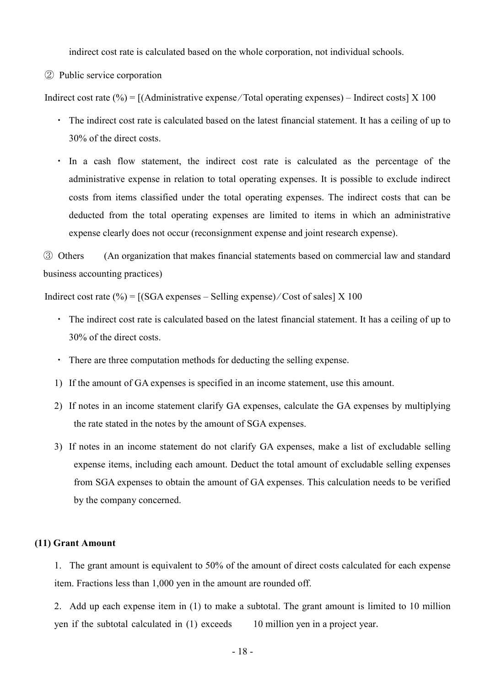indirect cost rate is calculated based on the whole corporation, not individual schools.

② Public service corporation

Indirect cost rate  $(\% ) = [ (Administative expense / Total operating expenses) - Indirect costs ] \times 100$ 

- ・ The indirect cost rate is calculated based on the latest financial statement. It has a ceiling of up to 30% of the direct costs.
- ・ In a cash flow statement, the indirect cost rate is calculated as the percentage of the administrative expense in relation to total operating expenses. It is possible to exclude indirect costs from items classified under the total operating expenses. The indirect costs that can be deducted from the total operating expenses are limited to items in which an administrative expense clearly does not occur (reconsignment expense and joint research expense).

③ Others (An organization that makes financial statements based on commercial law and standard business accounting practices)

Indirect cost rate (%) =  $[(SGA$  expenses – Selling expense)  $/Cost$  of sales  $[X 100$ 

- ・ The indirect cost rate is calculated based on the latest financial statement. It has a ceiling of up to 30% of the direct costs.
- ・ There are three computation methods for deducting the selling expense.
- 1) If the amount of GA expenses is specified in an income statement, use this amount.
- 2) If notes in an income statement clarify GA expenses, calculate the GA expenses by multiplying the rate stated in the notes by the amount of SGA expenses.
- 3) If notes in an income statement do not clarify GA expenses, make a list of excludable selling expense items, including each amount. Deduct the total amount of excludable selling expenses from SGA expenses to obtain the amount of GA expenses. This calculation needs to be verified by the company concerned.

#### **(11) Grant Amount**

1. The grant amount is equivalent to 50% of the amount of direct costs calculated for each expense item. Fractions less than 1,000 yen in the amount are rounded off.

2. Add up each expense item in (1) to make a subtotal. The grant amount is limited to 10 million yen if the subtotal calculated in (1) exceeds 10 million yen in a project year.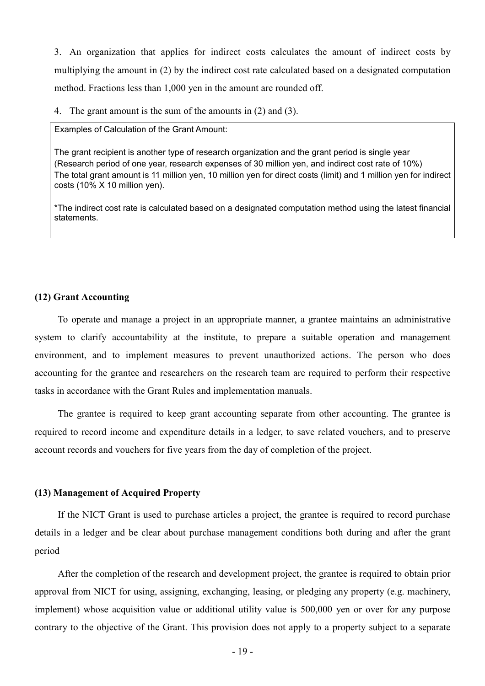3. An organization that applies for indirect costs calculates the amount of indirect costs by multiplying the amount in (2) by the indirect cost rate calculated based on a designated computation method. Fractions less than 1,000 yen in the amount are rounded off.

4. The grant amount is the sum of the amounts in (2) and (3).

Examples of Calculation of the Grant Amount:

The grant recipient is another type of research organization and the grant period is single year (Research period of one year, research expenses of 30 million yen, and indirect cost rate of 10%) The total grant amount is 11 million yen, 10 million yen for direct costs (limit) and 1 million yen for indirect costs (10% X 10 million yen).

\*The indirect cost rate is calculated based on a designated computation method using the latest financial statements.

#### **(12) Grant Accounting**

To operate and manage a project in an appropriate manner, a grantee maintains an administrative system to clarify accountability at the institute, to prepare a suitable operation and management environment, and to implement measures to prevent unauthorized actions. The person who does accounting for the grantee and researchers on the research team are required to perform their respective tasks in accordance with the Grant Rules and implementation manuals.

The grantee is required to keep grant accounting separate from other accounting. The grantee is required to record income and expenditure details in a ledger, to save related vouchers, and to preserve account records and vouchers for five years from the day of completion of the project.

#### **(13) Management of Acquired Property**

If the NICT Grant is used to purchase articles a project, the grantee is required to record purchase details in a ledger and be clear about purchase management conditions both during and after the grant period

After the completion of the research and development project, the grantee is required to obtain prior approval from NICT for using, assigning, exchanging, leasing, or pledging any property (e.g. machinery, implement) whose acquisition value or additional utility value is 500,000 yen or over for any purpose contrary to the objective of the Grant. This provision does not apply to a property subject to a separate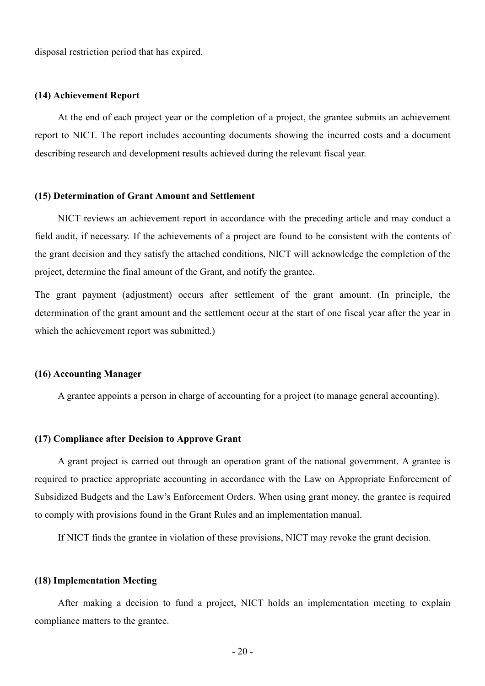disposal restriction period that has expired.

#### **(14) Achievement Report**

At the end of each project year or the completion of a project, the grantee submits an achievement report to NICT. The report includes accounting documents showing the incurred costs and a document describing research and development results achieved during the relevant fiscal year.

#### **(15) Determination of Grant Amount and Settlement**

NICT reviews an achievement report in accordance with the preceding article and may conduct a field audit, if necessary. If the achievements of a project are found to be consistent with the contents of the grant decision and they satisfy the attached conditions, NICT will acknowledge the completion of the project, determine the final amount of the Grant, and notify the grantee.

The grant payment (adjustment) occurs after settlement of the grant amount. (In principle, the determination of the grant amount and the settlement occur at the start of one fiscal year after the year in which the achievement report was submitted.)

#### **(16) Accounting Manager**

A grantee appoints a person in charge of accounting for a project (to manage general accounting).

#### **(17) Compliance after Decision to Approve Grant**

A grant project is carried out through an operation grant of the national government. A grantee is required to practice appropriate accounting in accordance with the Law on Appropriate Enforcement of Subsidized Budgets and the Law's Enforcement Orders. When using grant money, the grantee is required to comply with provisions found in the Grant Rules and an implementation manual.

If NICT finds the grantee in violation of these provisions, NICT may revoke the grant decision.

#### **(18) Implementation Meeting**

After making a decision to fund a project, NICT holds an implementation meeting to explain compliance matters to the grantee.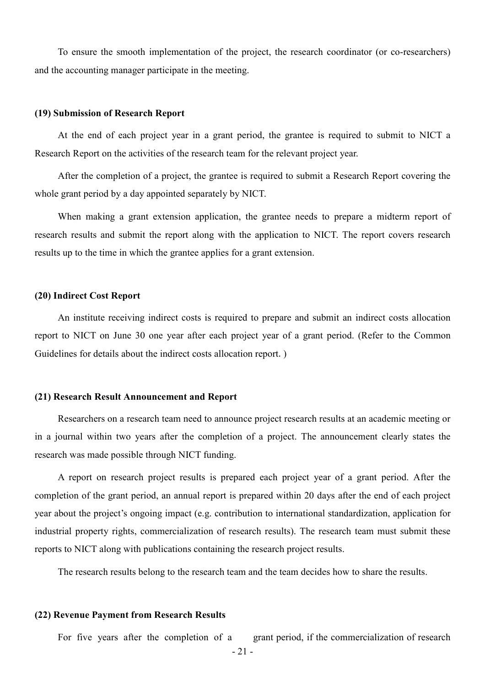To ensure the smooth implementation of the project, the research coordinator (or co-researchers) and the accounting manager participate in the meeting.

#### **(19) Submission of Research Report**

At the end of each project year in a grant period, the grantee is required to submit to NICT a Research Report on the activities of the research team for the relevant project year.

After the completion of a project, the grantee is required to submit a Research Report covering the whole grant period by a day appointed separately by NICT.

When making a grant extension application, the grantee needs to prepare a midterm report of research results and submit the report along with the application to NICT. The report covers research results up to the time in which the grantee applies for a grant extension.

#### **(20) Indirect Cost Report**

An institute receiving indirect costs is required to prepare and submit an indirect costs allocation report to NICT on June 30 one year after each project year of a grant period. (Refer to the Common Guidelines for details about the indirect costs allocation report.)

### **(21) Research Result Announcement and Report**

Researchers on a research team need to announce project research results at an academic meeting or in a journal within two years after the completion of a project. The announcement clearly states the research was made possible through NICT funding.

A report on research project results is prepared each project year of a grant period. After the completion of the grant period, an annual report is prepared within 20 days after the end of each project year about the project's ongoing impact (e.g. contribution to international standardization, application for industrial property rights, commercialization of research results). The research team must submit these reports to NICT along with publications containing the research project results.

The research results belong to the research team and the team decides how to share the results.

#### **(22) Revenue Payment from Research Results**

For five years after the completion of a grant period, if the commercialization of research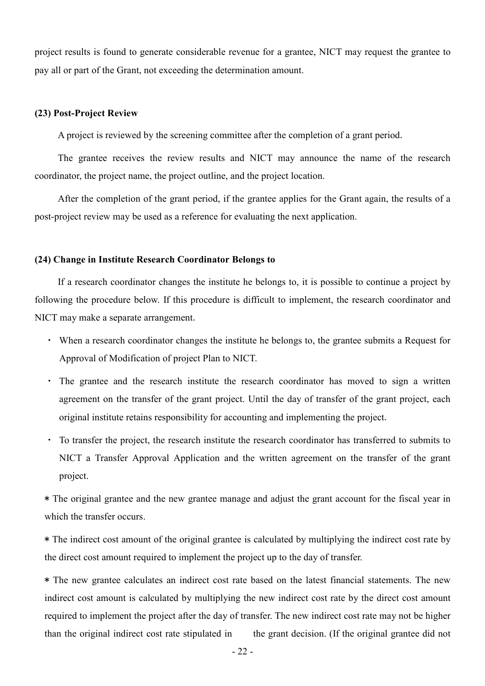project results is found to generate considerable revenue for a grantee, NICT may request the grantee to pay all or part of the Grant, not exceeding the determination amount.

#### **(23) Post-Project Review**

A project is reviewed by the screening committee after the completion of a grant period.

The grantee receives the review results and NICT may announce the name of the research coordinator, the project name, the project outline, and the project location.

After the completion of the grant period, if the grantee applies for the Grant again, the results of a post-project review may be used as a reference for evaluating the next application.

#### **(24) Change in Institute Research Coordinator Belongs to**

If a research coordinator changes the institute he belongs to, it is possible to continue a project by following the procedure below. If this procedure is difficult to implement, the research coordinator and NICT may make a separate arrangement.

- ・ When a research coordinator changes the institute he belongs to, the grantee submits a Request for Approval of Modification of project Plan to NICT.
- The grantee and the research institute the research coordinator has moved to sign a written agreement on the transfer of the grant project. Until the day of transfer of the grant project, each original institute retains responsibility for accounting and implementing the project.
- ・ To transfer the project, the research institute the research coordinator has transferred to submits to NICT a Transfer Approval Application and the written agreement on the transfer of the grant project.

\* The original grantee and the new grantee manage and adjust the grant account for the fiscal year in which the transfer occurs.

\* The indirect cost amount of the original grantee is calculated by multiplying the indirect cost rate by the direct cost amount required to implement the project up to the day of transfer.

\* The new grantee calculates an indirect cost rate based on the latest financial statements. The new indirect cost amount is calculated by multiplying the new indirect cost rate by the direct cost amount required to implement the project after the day of transfer. The new indirect cost rate may not be higher than the original indirect cost rate stipulated in the grant decision. (If the original grantee did not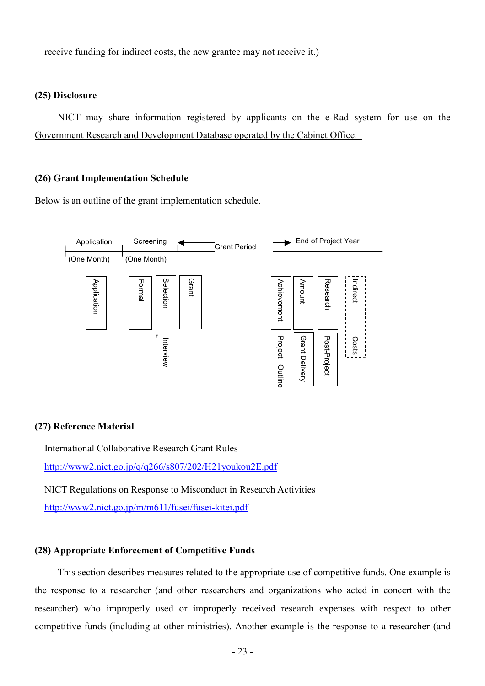receive funding for indirect costs, the new grantee may not receive it.)

### **(25) Disclosure**

NICT may share information registered by applicants on the e-Rad system for use on the Government Research and Development Database operated by the Cabinet Office.

#### **(26) Grant Implementation Schedule**

Below is an outline of the grant implementation schedule.



### **(27) Reference Material**

International Collaborative Research Grant Rules http://www2.nict.go.jp/q/q266/s807/202/H21youkou2E.pdf

NICT Regulations on Response to Misconduct in Research Activities

http://www2.nict.go.jp/m/m611/fusei/fusei-kitei.pdf

### **(28) Appropriate Enforcement of Competitive Funds**

This section describes measures related to the appropriate use of competitive funds. One example is the response to a researcher (and other researchers and organizations who acted in concert with the researcher) who improperly used or improperly received research expenses with respect to other competitive funds (including at other ministries). Another example is the response to a researcher (and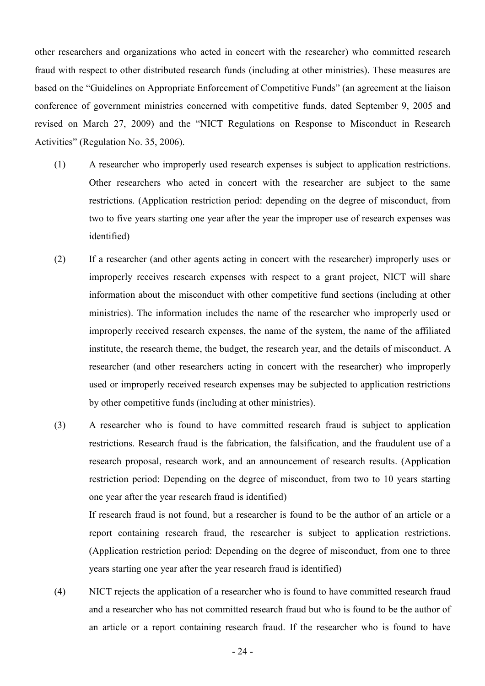other researchers and organizations who acted in concert with the researcher) who committed research fraud with respect to other distributed research funds (including at other ministries). These measures are based on the "Guidelines on Appropriate Enforcement of Competitive Funds" (an agreement at the liaison conference of government ministries concerned with competitive funds, dated September 9, 2005 and revised on March 27, 2009) and the "NICT Regulations on Response to Misconduct in Research Activities" (Regulation No. 35, 2006).

- (1) A researcher who improperly used research expenses is subject to application restrictions. Other researchers who acted in concert with the researcher are subject to the same restrictions. (Application restriction period: depending on the degree of misconduct, from two to five years starting one year after the year the improper use of research expenses was identified)
- (2) If a researcher (and other agents acting in concert with the researcher) improperly uses or improperly receives research expenses with respect to a grant project, NICT will share information about the misconduct with other competitive fund sections (including at other ministries). The information includes the name of the researcher who improperly used or improperly received research expenses, the name of the system, the name of the affiliated institute, the research theme, the budget, the research year, and the details of misconduct. A researcher (and other researchers acting in concert with the researcher) who improperly used or improperly received research expenses may be subjected to application restrictions by other competitive funds (including at other ministries).
- (3) A researcher who is found to have committed research fraud is subject to application restrictions. Research fraud is the fabrication, the falsification, and the fraudulent use of a research proposal, research work, and an announcement of research results. (Application restriction period: Depending on the degree of misconduct, from two to 10 years starting one year after the year research fraud is identified) If research fraud is not found, but a researcher is found to be the author of an article or a report containing research fraud, the researcher is subject to application restrictions. (Application restriction period: Depending on the degree of misconduct, from one to three years starting one year after the year research fraud is identified)
- (4) NICT rejects the application of a researcher who is found to have committed research fraud and a researcher who has not committed research fraud but who is found to be the author of an article or a report containing research fraud. If the researcher who is found to have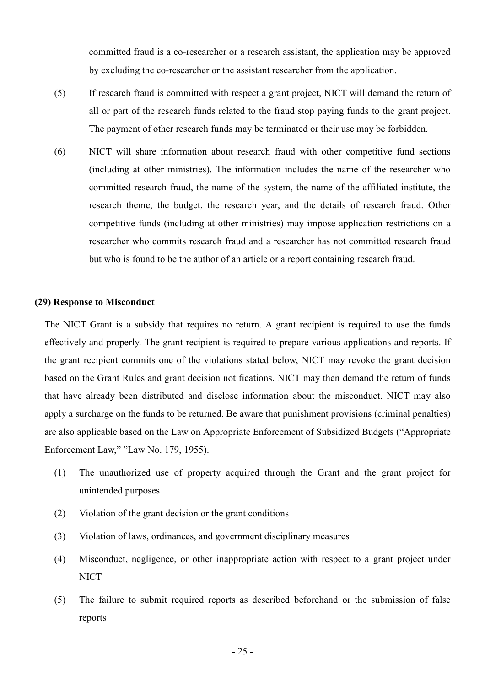committed fraud is a co-researcher or a research assistant, the application may be approved by excluding the co-researcher or the assistant researcher from the application.

- (5) If research fraud is committed with respect a grant project, NICT will demand the return of all or part of the research funds related to the fraud stop paying funds to the grant project. The payment of other research funds may be terminated or their use may be forbidden.
- (6) NICT will share information about research fraud with other competitive fund sections (including at other ministries). The information includes the name of the researcher who committed research fraud, the name of the system, the name of the affiliated institute, the research theme, the budget, the research year, and the details of research fraud. Other competitive funds (including at other ministries) may impose application restrictions on a researcher who commits research fraud and a researcher has not committed research fraud but who is found to be the author of an article or a report containing research fraud.

#### **(29) Response to Misconduct**

The NICT Grant is a subsidy that requires no return. A grant recipient is required to use the funds effectively and properly. The grant recipient is required to prepare various applications and reports. If the grant recipient commits one of the violations stated below, NICT may revoke the grant decision based on the Grant Rules and grant decision notifications. NICT may then demand the return of funds that have already been distributed and disclose information about the misconduct. NICT may also apply a surcharge on the funds to be returned. Be aware that punishment provisions (criminal penalties) are also applicable based on the Law on Appropriate Enforcement of Subsidized Budgets ("Appropriate Enforcement Law," "Law No. 179, 1955).

- (1) The unauthorized use of property acquired through the Grant and the grant project for unintended purposes
- (2) Violation of the grant decision or the grant conditions
- (3) Violation of laws, ordinances, and government disciplinary measures
- (4) Misconduct, negligence, or other inappropriate action with respect to a grant project under NICT
- (5) The failure to submit required reports as described beforehand or the submission of false reports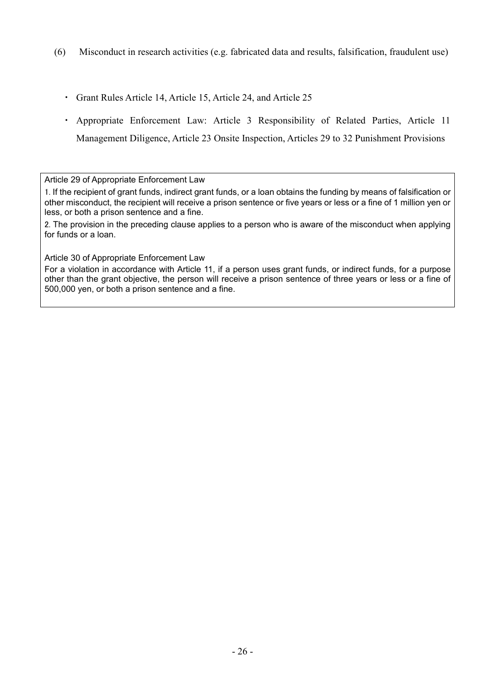- (6) Misconduct in research activities (e.g. fabricated data and results, falsification, fraudulent use)
	- ・ Grant Rules Article 14, Article 15, Article 24, and Article 25
	- ・ Appropriate Enforcement Law: Article 3 Responsibility of Related Parties, Article 11 Management Diligence, Article 23 Onsite Inspection, Articles 29 to 32 Punishment Provisions

Article 29 of Appropriate Enforcement Law

1. If the recipient of grant funds, indirect grant funds, or a loan obtains the funding by means of falsification or other misconduct, the recipient will receive a prison sentence or five years or less or a fine of 1 million yen or less, or both a prison sentence and a fine.

2. The provision in the preceding clause applies to a person who is aware of the misconduct when applying for funds or a loan.

Article 30 of Appropriate Enforcement Law

For a violation in accordance with Article 11, if a person uses grant funds, or indirect funds, for a purpose other than the grant objective, the person will receive a prison sentence of three years or less or a fine of 500,000 yen, or both a prison sentence and a fine.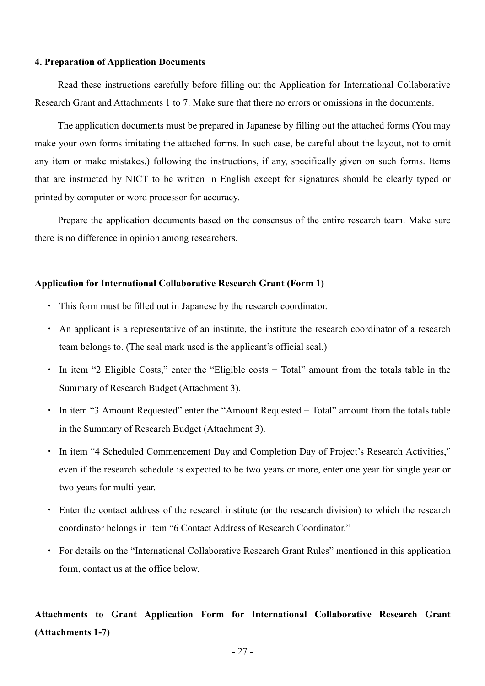#### **4. Preparation of Application Documents**

Read these instructions carefully before filling out the Application for International Collaborative Research Grant and Attachments 1 to 7. Make sure that there no errors or omissions in the documents.

The application documents must be prepared in Japanese by filling out the attached forms (You may make your own forms imitating the attached forms. In such case, be careful about the layout, not to omit any item or make mistakes.) following the instructions, if any, specifically given on such forms. Items that are instructed by NICT to be written in English except for signatures should be clearly typed or printed by computer or word processor for accuracy.

Prepare the application documents based on the consensus of the entire research team. Make sure there is no difference in opinion among researchers.

### **Application for International Collaborative Research Grant (Form 1)**

- ・ This form must be filled out in Japanese by the research coordinator.
- ・ An applicant is a representative of an institute, the institute the research coordinator of a research team belongs to. (The seal mark used is the applicant's official seal.)
- ・ In item "2 Eligible Costs," enter the "Eligible costs − Total" amount from the totals table in the Summary of Research Budget (Attachment 3).
- ・ In item "3 Amount Requested" enter the "Amount Requested − Total" amount from the totals table in the Summary of Research Budget (Attachment 3).
- In item "4 Scheduled Commencement Day and Completion Day of Project's Research Activities," even if the research schedule is expected to be two years or more, enter one year for single year or two years for multi-year.
- ・ Enter the contact address of the research institute (or the research division) to which the research coordinator belongs in item "6 Contact Address of Research Coordinator."
- ・ For details on the "International Collaborative Research Grant Rules" mentioned in this application form, contact us at the office below.

## **Attachments to Grant Application Form for International Collaborative Research Grant (Attachments 1-7)**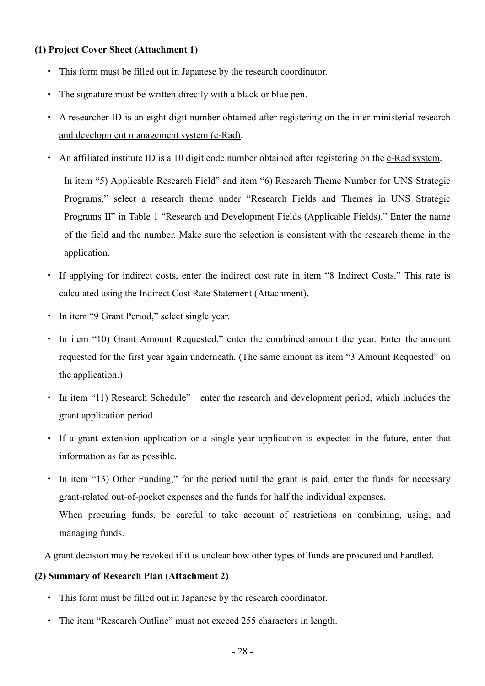## **(1) Project Cover Sheet (Attachment 1)**

- ・ This form must be filled out in Japanese by the research coordinator.
- ・ The signature must be written directly with a black or blue pen.
- ・ A researcher ID is an eight digit number obtained after registering on the inter-ministerial research and development management system (e-Rad).
- ・ An affiliated institute ID is a 10 digit code number obtained after registering on the e-Rad system.

In item "5) Applicable Research Field" and item "6) Research Theme Number for UNS Strategic Programs," select a research theme under "Research Fields and Themes in UNS Strategic Programs II" in Table 1 "Research and Development Fields (Applicable Fields)." Enter the name of the field and the number. Make sure the selection is consistent with the research theme in the application.

- If applying for indirect costs, enter the indirect cost rate in item "8 Indirect Costs." This rate is calculated using the Indirect Cost Rate Statement (Attachment).
- ・ In item "9 Grant Period," select single year.
- ・ In item "10) Grant Amount Requested," enter the combined amount the year. Enter the amount requested for the first year again underneath. (The same amount as item "3 Amount Requested" on the application.)
- In item "11) Research Schedule" enter the research and development period, which includes the grant application period.
- ・ If a grant extension application or a single-year application is expected in the future, enter that information as far as possible.
- In item "13) Other Funding," for the period until the grant is paid, enter the funds for necessary grant-related out-of-pocket expenses and the funds for half the individual expenses. When procuring funds, be careful to take account of restrictions on combining, using, and managing funds.

A grant decision may be revoked if it is unclear how other types of funds are procured and handled.

## **(2) Summary of Research Plan (Attachment 2)**

- ・ This form must be filled out in Japanese by the research coordinator.
- ・ The item "Research Outline" must not exceed 255 characters in length.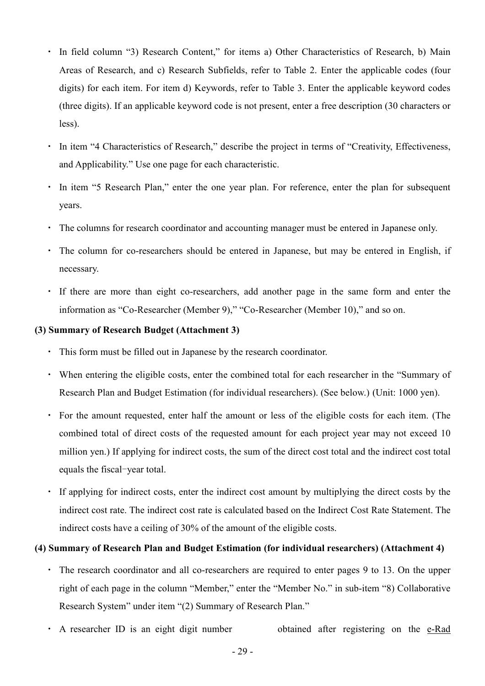- In field column "3) Research Content," for items a) Other Characteristics of Research, b) Main Areas of Research, and c) Research Subfields, refer to Table 2. Enter the applicable codes (four digits) for each item. For item d) Keywords, refer to Table 3. Enter the applicable keyword codes (three digits). If an applicable keyword code is not present, enter a free description (30 characters or less).
- ・ In item "4 Characteristics of Research," describe the project in terms of "Creativity, Effectiveness, and Applicability." Use one page for each characteristic.
- In item "5 Research Plan," enter the one year plan. For reference, enter the plan for subsequent years.
- ・ The columns for research coordinator and accounting manager must be entered in Japanese only.
- ・ The column for co-researchers should be entered in Japanese, but may be entered in English, if necessary.
- ・ If there are more than eight co-researchers, add another page in the same form and enter the information as "Co-Researcher (Member 9)," "Co-Researcher (Member 10)," and so on.

## **(3) Summary of Research Budget (Attachment 3)**

- ・ This form must be filled out in Japanese by the research coordinator.
- ・ When entering the eligible costs, enter the combined total for each researcher in the "Summary of Research Plan and Budget Estimation (for individual researchers). (See below.) (Unit: 1000 yen).
- ・ For the amount requested, enter half the amount or less of the eligible costs for each item. (The combined total of direct costs of the requested amount for each project year may not exceed 10 million yen.) If applying for indirect costs, the sum of the direct cost total and the indirect cost total equals the fiscal-year total.
- ・ If applying for indirect costs, enter the indirect cost amount by multiplying the direct costs by the indirect cost rate. The indirect cost rate is calculated based on the Indirect Cost Rate Statement. The indirect costs have a ceiling of 30% of the amount of the eligible costs.

## **(4) Summary of Research Plan and Budget Estimation (for individual researchers) (Attachment 4)**

- ・ The research coordinator and all co-researchers are required to enter pages 9 to 13. On the upper right of each page in the column "Member," enter the "Member No." in sub-item "8) Collaborative Research System" under item "(2) Summary of Research Plan."
- ・ A researcher ID is an eight digit number obtained after registering on the e-Rad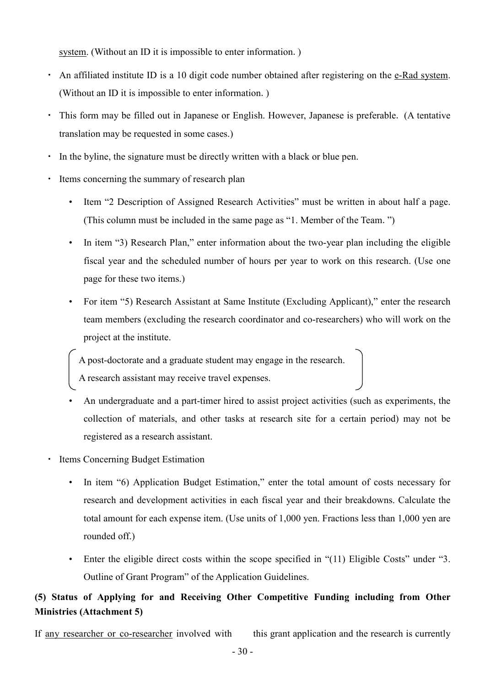system. (Without an ID it is impossible to enter information.)

- An affiliated institute ID is a 10 digit code number obtained after registering on the e-Rad system. (Without an ID it is impossible to enter information.)
- ・ This form may be filled out in Japanese or English. However, Japanese is preferable. (A tentative translation may be requested in some cases.)
- ・ In the byline, the signature must be directly written with a black or blue pen.
- ・ Items concerning the summary of research plan
	- Item "2 Description of Assigned Research Activities" must be written in about half a page. (This column must be included in the same page as "1. Member of the Team.")
	- In item "3) Research Plan," enter information about the two-year plan including the eligible fiscal year and the scheduled number of hours per year to work on this research. (Use one page for these two items.)
	- For item "5) Research Assistant at Same Institute (Excluding Applicant)," enter the research team members (excluding the research coordinator and co-researchers) who will work on the project at the institute.

A post-doctorate and a graduate student may engage in the research. A research assistant may receive travel expenses.

- An undergraduate and a part-timer hired to assist project activities (such as experiments, the collection of materials, and other tasks at research site for a certain period) may not be registered as a research assistant.
- **Items Concerning Budget Estimation** 
	- In item "6) Application Budget Estimation," enter the total amount of costs necessary for research and development activities in each fiscal year and their breakdowns. Calculate the total amount for each expense item. (Use units of 1,000 yen. Fractions less than 1,000 yen are rounded off.)
	- Enter the eligible direct costs within the scope specified in "(11) Eligible Costs" under "3. Outline of Grant Program" of the Application Guidelines.

## **(5) Status of Applying for and Receiving Other Competitive Funding including from Other Ministries (Attachment 5)**

If any researcher or co-researcher involved with this grant application and the research is currently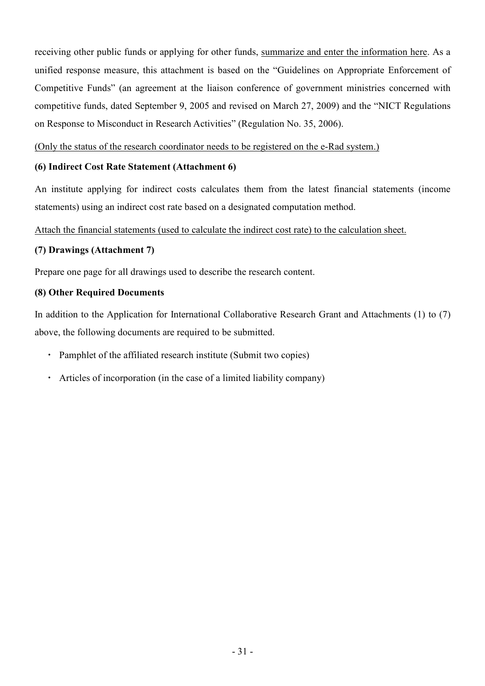receiving other public funds or applying for other funds, summarize and enter the information here. As a unified response measure, this attachment is based on the "Guidelines on Appropriate Enforcement of Competitive Funds" (an agreement at the liaison conference of government ministries concerned with competitive funds, dated September 9, 2005 and revised on March 27, 2009) and the "NICT Regulations on Response to Misconduct in Research Activities" (Regulation No. 35, 2006).

(Only the status of the research coordinator needs to be registered on the e-Rad system.)

## **(6) Indirect Cost Rate Statement (Attachment 6)**

An institute applying for indirect costs calculates them from the latest financial statements (income statements) using an indirect cost rate based on a designated computation method.

Attach the financial statements (used to calculate the indirect cost rate) to the calculation sheet.

## **(7) Drawings (Attachment 7)**

Prepare one page for all drawings used to describe the research content.

## **(8) Other Required Documents**

In addition to the Application for International Collaborative Research Grant and Attachments (1) to (7) above, the following documents are required to be submitted.

- ・ Pamphlet of the affiliated research institute (Submit two copies)
- ・ Articles of incorporation (in the case of a limited liability company)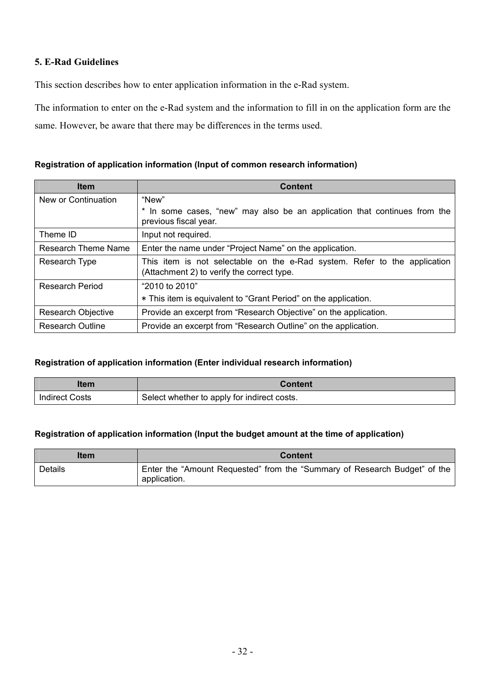## **5. E-Rad Guidelines**

This section describes how to enter application information in the e-Rad system.

The information to enter on the e-Rad system and the information to fill in on the application form are the same. However, be aware that there may be differences in the terms used.

## **Registration of application information (Input of common research information)**

| <b>Item</b>                | <b>Content</b>                                                                                                          |  |  |
|----------------------------|-------------------------------------------------------------------------------------------------------------------------|--|--|
| New or Continuation        | "New"                                                                                                                   |  |  |
|                            | * In some cases, "new" may also be an application that continues from the<br>previous fiscal year.                      |  |  |
| Theme ID                   | Input not required.                                                                                                     |  |  |
| <b>Research Theme Name</b> | Enter the name under "Project Name" on the application.                                                                 |  |  |
| Research Type              | This item is not selectable on the e-Rad system. Refer to the application<br>(Attachment 2) to verify the correct type. |  |  |
| <b>Research Period</b>     | "2010 to 2010"                                                                                                          |  |  |
|                            | * This item is equivalent to "Grant Period" on the application.                                                         |  |  |
| Research Objective         | Provide an excerpt from "Research Objective" on the application.                                                        |  |  |
| <b>Research Outline</b>    | Provide an excerpt from "Research Outline" on the application.                                                          |  |  |

### **Registration of application information (Enter individual research information)**

| ltem                  | Content                                     |  |
|-----------------------|---------------------------------------------|--|
| <b>Indirect Costs</b> | Select whether to apply for indirect costs. |  |

### **Registration of application information (Input the budget amount at the time of application)**

| ltem           | <b>Content</b>                                                                            |  |  |
|----------------|-------------------------------------------------------------------------------------------|--|--|
| <b>Details</b> | Enter the "Amount Requested" from the "Summary of Research Budget" of the<br>application. |  |  |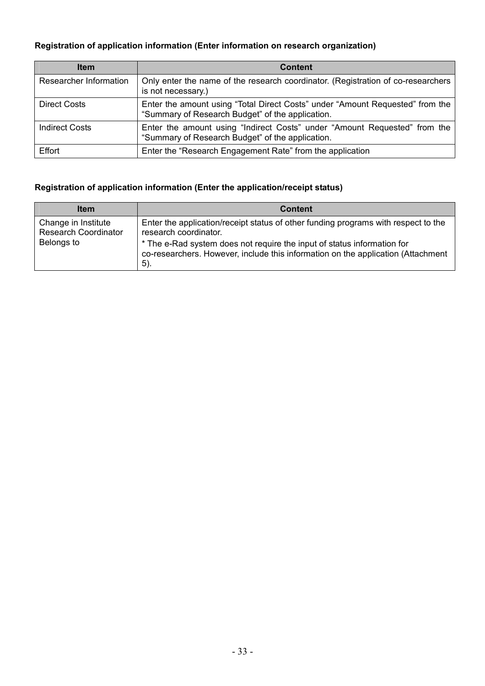## **Registration of application information (Enter information on research organization)**

| <b>Item</b>            | <b>Content</b>                                                                                                                    |  |  |
|------------------------|-----------------------------------------------------------------------------------------------------------------------------------|--|--|
| Researcher Information | Only enter the name of the research coordinator. (Registration of co-researchers<br>is not necessary.)                            |  |  |
| <b>Direct Costs</b>    | Enter the amount using "Total Direct Costs" under "Amount Requested" from the<br>"Summary of Research Budget" of the application. |  |  |
| <b>Indirect Costs</b>  | Enter the amount using "Indirect Costs" under "Amount Requested" from the<br>"Summary of Research Budget" of the application.     |  |  |
| Effort                 | Enter the "Research Engagement Rate" from the application                                                                         |  |  |

## **Registration of application information (Enter the application/receipt status)**

| <b>Item</b>                                        | <b>Content</b>                                                                                                                                                     |
|----------------------------------------------------|--------------------------------------------------------------------------------------------------------------------------------------------------------------------|
| Change in Institute<br><b>Research Coordinator</b> | Enter the application/receipt status of other funding programs with respect to the<br>research coordinator.                                                        |
| Belongs to                                         | * The e-Rad system does not require the input of status information for<br>co-researchers. However, include this information on the application (Attachment<br>5). |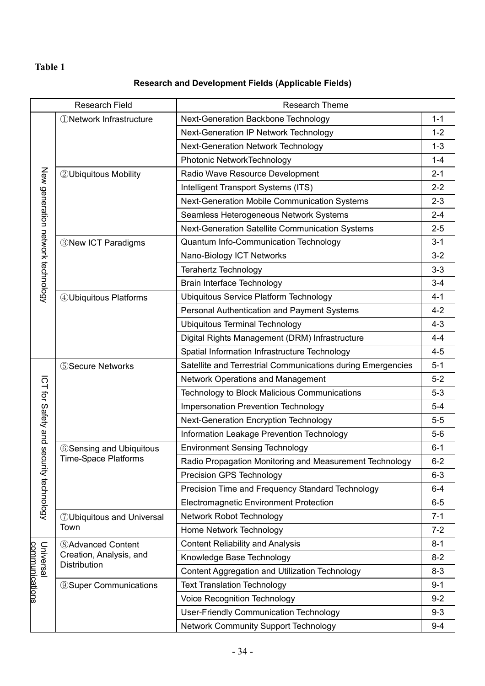## **Table 1**

## **Research and Development Fields (Applicable Fields)**

| <b>Research Field</b>             |                                       | <b>Research Theme</b>                                       |         |  |  |
|-----------------------------------|---------------------------------------|-------------------------------------------------------------|---------|--|--|
|                                   | <b><i>ONetwork Infrastructure</i></b> | Next-Generation Backbone Technology                         |         |  |  |
|                                   |                                       | Next-Generation IP Network Technology                       | $1 - 2$ |  |  |
|                                   |                                       | Next-Generation Network Technology                          | $1 - 3$ |  |  |
|                                   |                                       | Photonic NetworkTechnology                                  |         |  |  |
|                                   | <b>2 Ubiquitous Mobility</b>          | Radio Wave Resource Development                             | $2 - 1$ |  |  |
|                                   |                                       | Intelligent Transport Systems (ITS)                         | $2 - 2$ |  |  |
|                                   |                                       | Next-Generation Mobile Communication Systems                | $2 - 3$ |  |  |
| New generation network technology |                                       | Seamless Heterogeneous Network Systems                      | $2 - 4$ |  |  |
|                                   |                                       | Next-Generation Satellite Communication Systems             | $2 - 5$ |  |  |
|                                   | <b>3 New ICT Paradigms</b>            | Quantum Info-Communication Technology                       | $3 - 1$ |  |  |
|                                   |                                       | Nano-Biology ICT Networks                                   | $3 - 2$ |  |  |
|                                   |                                       | <b>Terahertz Technology</b>                                 | $3 - 3$ |  |  |
|                                   |                                       | Brain Interface Technology                                  | $3 - 4$ |  |  |
|                                   | 4 Ubiquitous Platforms                | <b>Ubiquitous Service Platform Technology</b>               | $4 - 1$ |  |  |
|                                   |                                       | Personal Authentication and Payment Systems                 | $4 - 2$ |  |  |
|                                   |                                       | <b>Ubiquitous Terminal Technology</b>                       | $4 - 3$ |  |  |
|                                   |                                       | Digital Rights Management (DRM) Infrastructure              | $4 - 4$ |  |  |
|                                   |                                       | Spatial Information Infrastructure Technology               | $4 - 5$ |  |  |
|                                   | <b>5 Secure Networks</b>              | Satellite and Terrestrial Communications during Emergencies |         |  |  |
|                                   |                                       | <b>Network Operations and Management</b>                    | $5-2$   |  |  |
| ICT for Safety and                |                                       | Technology to Block Malicious Communications                | $5 - 3$ |  |  |
|                                   |                                       | Impersonation Prevention Technology                         | $5-4$   |  |  |
|                                   |                                       | <b>Next-Generation Encryption Technology</b>                | $5-5$   |  |  |
|                                   |                                       | Information Leakage Prevention Technology                   | $5-6$   |  |  |
| Seci                              | <b>6 Sensing and Ubiquitous</b>       | <b>Environment Sensing Technology</b>                       | $6 - 1$ |  |  |
|                                   | <b>Time-Space Platforms</b>           | Radio Propagation Monitoring and Measurement Technology     | $6 - 2$ |  |  |
| urity technology                  |                                       | Precision GPS Technology                                    | $6 - 3$ |  |  |
|                                   |                                       | Precision Time and Frequency Standard Technology            | $6 - 4$ |  |  |
|                                   |                                       | <b>Electromagnetic Environment Protection</b>               | $6-5$   |  |  |
|                                   | <b>7 Ubiquitous and Universal</b>     | <b>Network Robot Technology</b>                             | $7 - 1$ |  |  |
|                                   | Town                                  | Home Network Technology                                     | $7 - 2$ |  |  |
|                                   | <b>8</b> Advanced Content             | <b>Content Reliability and Analysis</b>                     | $8 - 1$ |  |  |
| Universal                         | Creation, Analysis, and               | Knowledge Base Technology                                   | $8 - 2$ |  |  |
|                                   | Distribution                          | <b>Content Aggregation and Utilization Technology</b>       | $8 - 3$ |  |  |
|                                   | <b>9 Super Communications</b>         | <b>Text Translation Technology</b>                          | $9 - 1$ |  |  |
| communications                    |                                       | <b>Voice Recognition Technology</b>                         | $9 - 2$ |  |  |
|                                   |                                       | <b>User-Friendly Communication Technology</b>               | $9 - 3$ |  |  |
|                                   |                                       | <b>Network Community Support Technology</b>                 | $9 - 4$ |  |  |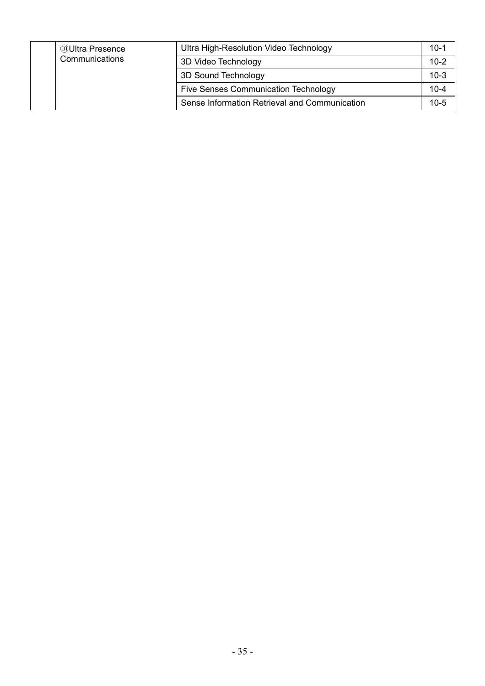| <b>10 Ultra Presence</b> |                | Ultra High-Resolution Video Technology        | $10-1$   |
|--------------------------|----------------|-----------------------------------------------|----------|
|                          | Communications | 3D Video Technology                           | $10 - 2$ |
|                          |                | 3D Sound Technology                           | $10-3$   |
|                          |                | <b>Five Senses Communication Technology</b>   | $10 - 4$ |
|                          |                | Sense Information Retrieval and Communication | $10 - 5$ |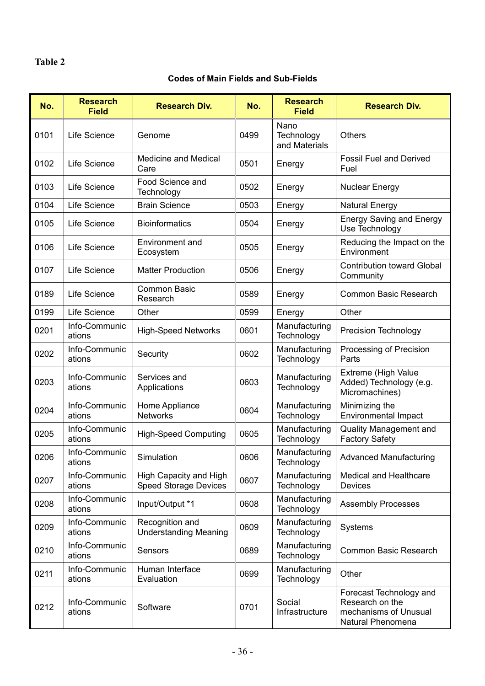## **Table 2**

## **Codes of Main Fields and Sub-Fields**

| No.  | <b>Research</b><br><b>Field</b> | <b>Research Div.</b>                                   | No.  | <b>Research</b><br><b>Field</b>     | <b>Research Div.</b>                                                                     |
|------|---------------------------------|--------------------------------------------------------|------|-------------------------------------|------------------------------------------------------------------------------------------|
| 0101 | Life Science                    | Genome                                                 | 0499 | Nano<br>Technology<br>and Materials | <b>Others</b>                                                                            |
| 0102 | Life Science                    | <b>Medicine and Medical</b><br>Care                    | 0501 | Energy                              | <b>Fossil Fuel and Derived</b><br>Fuel                                                   |
| 0103 | Life Science                    | Food Science and<br>Technology                         | 0502 | Energy                              | <b>Nuclear Energy</b>                                                                    |
| 0104 | Life Science                    | <b>Brain Science</b>                                   | 0503 | Energy                              | <b>Natural Energy</b>                                                                    |
| 0105 | Life Science                    | <b>Bioinformatics</b>                                  | 0504 | Energy                              | <b>Energy Saving and Energy</b><br>Use Technology                                        |
| 0106 | Life Science                    | <b>Environment and</b><br>Ecosystem                    | 0505 | Energy                              | Reducing the Impact on the<br>Environment                                                |
| 0107 | Life Science                    | <b>Matter Production</b>                               | 0506 | Energy                              | <b>Contribution toward Global</b><br>Community                                           |
| 0189 | Life Science                    | <b>Common Basic</b><br>Research                        | 0589 | Energy                              | Common Basic Research                                                                    |
| 0199 | Life Science                    | Other                                                  | 0599 | Energy                              | Other                                                                                    |
| 0201 | Info-Communic<br>ations         | <b>High-Speed Networks</b>                             | 0601 | Manufacturing<br>Technology         | <b>Precision Technology</b>                                                              |
| 0202 | Info-Communic<br>ations         | Security                                               | 0602 | Manufacturing<br>Technology         | Processing of Precision<br>Parts                                                         |
| 0203 | Info-Communic<br>ations         | Services and<br>Applications                           | 0603 | Manufacturing<br>Technology         | Extreme (High Value<br>Added) Technology (e.g.<br>Micromachines)                         |
| 0204 | Info-Communic<br>ations         | Home Appliance<br><b>Networks</b>                      | 0604 | Manufacturing<br>Technology         | Minimizing the<br><b>Environmental Impact</b>                                            |
| 0205 | Info-Communic<br>ations         | <b>High-Speed Computing</b>                            | 0605 | Manufacturing<br>Technology         | <b>Quality Management and</b><br><b>Factory Safety</b>                                   |
| 0206 | Info-Communic<br>ations         | Simulation                                             | 0606 | Manufacturing<br>Technology         | <b>Advanced Manufacturing</b>                                                            |
| 0207 | Info-Communic<br>ations         | High Capacity and High<br><b>Speed Storage Devices</b> | 0607 | Manufacturing<br>Technology         | <b>Medical and Healthcare</b><br>Devices                                                 |
| 0208 | Info-Communic<br>ations         | Input/Output *1                                        | 0608 | Manufacturing<br>Technology         | <b>Assembly Processes</b>                                                                |
| 0209 | Info-Communic<br>ations         | Recognition and<br><b>Understanding Meaning</b>        | 0609 | Manufacturing<br>Technology         | Systems                                                                                  |
| 0210 | Info-Communic<br>ations         | Sensors                                                | 0689 | Manufacturing<br>Technology         | Common Basic Research                                                                    |
| 0211 | Info-Communic<br>ations         | Human Interface<br>Evaluation                          | 0699 | Manufacturing<br>Technology         | Other                                                                                    |
| 0212 | Info-Communic<br>ations         | Software                                               | 0701 | Social<br>Infrastructure            | Forecast Technology and<br>Research on the<br>mechanisms of Unusual<br>Natural Phenomena |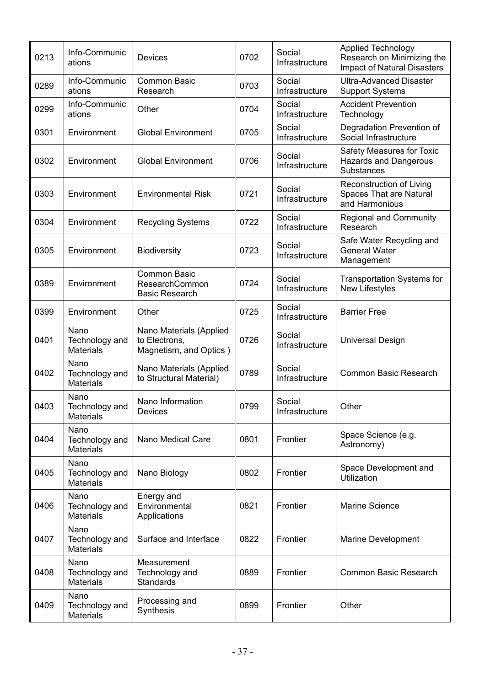| 0213 | Info-Communic<br>ations                    | <b>Devices</b>                                                     | 0702 | Social<br>Infrastructure | <b>Applied Technology</b><br>Research on Minimizing the<br><b>Impact of Natural Disasters</b> |
|------|--------------------------------------------|--------------------------------------------------------------------|------|--------------------------|-----------------------------------------------------------------------------------------------|
| 0289 | Info-Communic<br>ations                    | <b>Common Basic</b><br>Research                                    | 0703 | Social<br>Infrastructure | <b>Ultra-Advanced Disaster</b><br><b>Support Systems</b>                                      |
| 0299 | Info-Communic<br>ations                    | Other                                                              | 0704 | Social<br>Infrastructure | <b>Accident Prevention</b><br>Technology                                                      |
| 0301 | Environment                                | <b>Global Environment</b>                                          | 0705 | Social<br>Infrastructure | Degradation Prevention of<br>Social Infrastructure                                            |
| 0302 | Environment                                | <b>Global Environment</b>                                          | 0706 | Social<br>Infrastructure | Safety Measures for Toxic<br><b>Hazards and Dangerous</b><br>Substances                       |
| 0303 | Environment                                | <b>Environmental Risk</b>                                          | 0721 | Social<br>Infrastructure | Reconstruction of Living<br><b>Spaces That are Natural</b><br>and Harmonious                  |
| 0304 | Environment                                | <b>Recycling Systems</b>                                           | 0722 | Social<br>Infrastructure | <b>Regional and Community</b><br>Research                                                     |
| 0305 | Environment                                | <b>Biodiversity</b>                                                | 0723 | Social<br>Infrastructure | Safe Water Recycling and<br><b>General Water</b><br>Management                                |
| 0389 | Environment                                | <b>Common Basic</b><br>ResearchCommon<br><b>Basic Research</b>     | 0724 | Social<br>Infrastructure | <b>Transportation Systems for</b><br><b>New Lifestyles</b>                                    |
| 0399 | Environment                                | Other                                                              | 0725 | Social<br>Infrastructure | <b>Barrier Free</b>                                                                           |
| 0401 | Nano<br>Technology and<br><b>Materials</b> | Nano Materials (Applied<br>to Electrons,<br>Magnetism, and Optics) | 0726 | Social<br>Infrastructure | <b>Universal Design</b>                                                                       |
| 0402 | Nano<br>Technology and<br><b>Materials</b> | Nano Materials (Applied<br>to Structural Material)                 | 0789 | Social<br>Infrastructure | <b>Common Basic Research</b>                                                                  |
| 0403 | Nano<br>Technology and<br><b>Materials</b> | Nano Information<br>Devices                                        | 0799 | Social<br>Infrastructure | Other                                                                                         |
| 0404 | Nano<br>Technology and<br><b>Materials</b> | Nano Medical Care                                                  | 0801 | Frontier                 | Space Science (e.g.<br>Astronomy)                                                             |
| 0405 | Nano<br>Technology and<br><b>Materials</b> | Nano Biology                                                       | 0802 | Frontier                 | Space Development and<br>Utilization                                                          |
| 0406 | Nano<br>Technology and<br><b>Materials</b> | Energy and<br>Environmental<br>Applications                        | 0821 | Frontier                 | <b>Marine Science</b>                                                                         |
| 0407 | Nano<br>Technology and<br><b>Materials</b> | Surface and Interface                                              | 0822 | Frontier                 | Marine Development                                                                            |
| 0408 | Nano<br>Technology and<br><b>Materials</b> | Measurement<br>Technology and<br><b>Standards</b>                  | 0889 | Frontier                 | Common Basic Research                                                                         |
| 0409 | Nano<br>Technology and<br><b>Materials</b> | Processing and<br>Synthesis                                        | 0899 | Frontier                 | Other                                                                                         |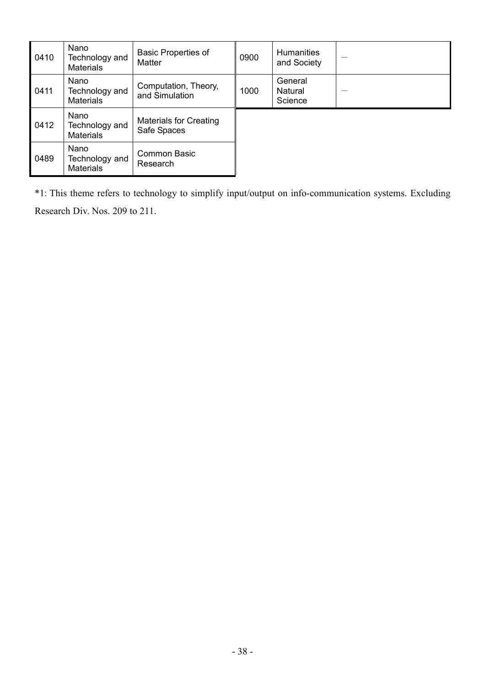| 0410 | Nano<br>Technology and<br><b>Materials</b> | <b>Basic Properties of</b><br>Matter         | 0900 | Humanities<br>and Society     |  |
|------|--------------------------------------------|----------------------------------------------|------|-------------------------------|--|
| 0411 | Nano<br>Technology and<br><b>Materials</b> | Computation, Theory,<br>and Simulation       | 1000 | General<br>Natural<br>Science |  |
| 0412 | Nano<br>Technology and<br><b>Materials</b> | <b>Materials for Creating</b><br>Safe Spaces |      |                               |  |
| 0489 | Nano<br>Technology and<br><b>Materials</b> | <b>Common Basic</b><br>Research              |      |                               |  |

\*1: This theme refers to technology to simplify input/output on info-communication systems. Excluding

Research Div. Nos. 209 to 211.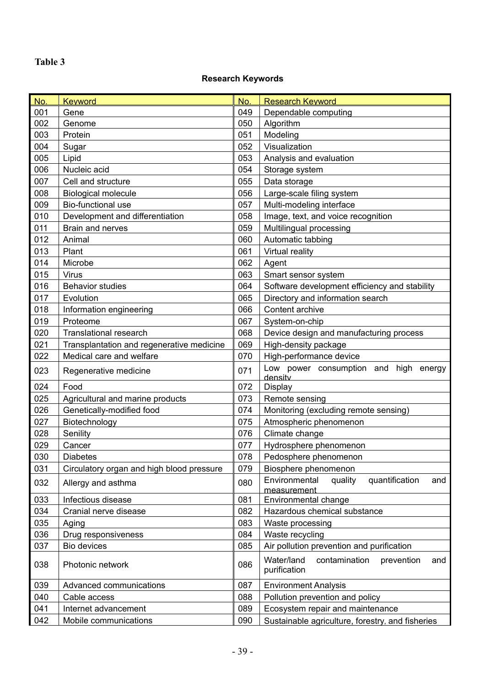## **Table 3**

## **Research Keywords**

| No. | <b>Keyword</b>                            | No. | <b>Research Keyword</b>                                          |  |
|-----|-------------------------------------------|-----|------------------------------------------------------------------|--|
| 001 | Gene                                      |     | Dependable computing                                             |  |
| 002 | Genome                                    |     | Algorithm                                                        |  |
| 003 | Protein                                   |     | Modeling                                                         |  |
| 004 | Sugar                                     |     | Visualization                                                    |  |
| 005 | Lipid                                     |     | Analysis and evaluation                                          |  |
| 006 | Nucleic acid                              |     | Storage system                                                   |  |
| 007 | Cell and structure                        | 055 | Data storage                                                     |  |
| 008 | <b>Biological molecule</b>                | 056 | Large-scale filing system                                        |  |
| 009 | Bio-functional use                        |     | Multi-modeling interface                                         |  |
| 010 | Development and differentiation           | 058 | Image, text, and voice recognition                               |  |
| 011 | Brain and nerves                          |     | Multilingual processing                                          |  |
| 012 | Animal                                    | 060 | Automatic tabbing                                                |  |
| 013 | Plant                                     |     | Virtual reality                                                  |  |
| 014 | Microbe                                   |     | Agent                                                            |  |
| 015 | <b>Virus</b>                              |     | Smart sensor system                                              |  |
| 016 | <b>Behavior studies</b>                   |     | Software development efficiency and stability                    |  |
| 017 | Evolution                                 |     | Directory and information search                                 |  |
| 018 | Information engineering                   |     | Content archive                                                  |  |
| 019 | Proteome                                  | 067 | System-on-chip                                                   |  |
| 020 | <b>Translational research</b>             |     | Device design and manufacturing process                          |  |
| 021 | Transplantation and regenerative medicine |     | High-density package                                             |  |
| 022 | Medical care and welfare                  | 070 | High-performance device                                          |  |
| 023 | Regenerative medicine                     | 071 | Low power consumption and high energy<br>density                 |  |
| 024 | Food                                      | 072 | <b>Display</b>                                                   |  |
| 025 | Agricultural and marine products          | 073 | Remote sensing                                                   |  |
| 026 | Genetically-modified food                 | 074 | Monitoring (excluding remote sensing)                            |  |
| 027 | Biotechnology                             | 075 | Atmospheric phenomenon                                           |  |
| 028 | Senility                                  | 076 | Climate change                                                   |  |
| 029 | Cancer                                    | 077 | Hydrosphere phenomenon                                           |  |
| 030 | <b>Diabetes</b>                           | 078 | Pedosphere phenomenon                                            |  |
| 031 | Circulatory organ and high blood pressure | 079 | Biosphere phenomenon                                             |  |
| 032 | Allergy and asthma                        | 080 | quantification<br>Environmental<br>quality<br>and<br>measurement |  |
| 033 | Infectious disease                        | 081 | Environmental change                                             |  |
| 034 | Cranial nerve disease                     | 082 | Hazardous chemical substance                                     |  |
| 035 | Aging                                     | 083 | Waste processing                                                 |  |
| 036 | Drug responsiveness                       | 084 | Waste recycling                                                  |  |
| 037 | Bio devices                               | 085 | Air pollution prevention and purification                        |  |
| 038 | Photonic network                          | 086 | Water/land<br>contamination<br>prevention<br>and<br>purification |  |
| 039 | Advanced communications                   |     | <b>Environment Analysis</b>                                      |  |
| 040 | 087<br>Cable access<br>088                |     | Pollution prevention and policy                                  |  |
| 041 | Internet advancement                      |     | Ecosystem repair and maintenance                                 |  |
| 042 | Mobile communications                     |     | Sustainable agriculture, forestry, and fisheries                 |  |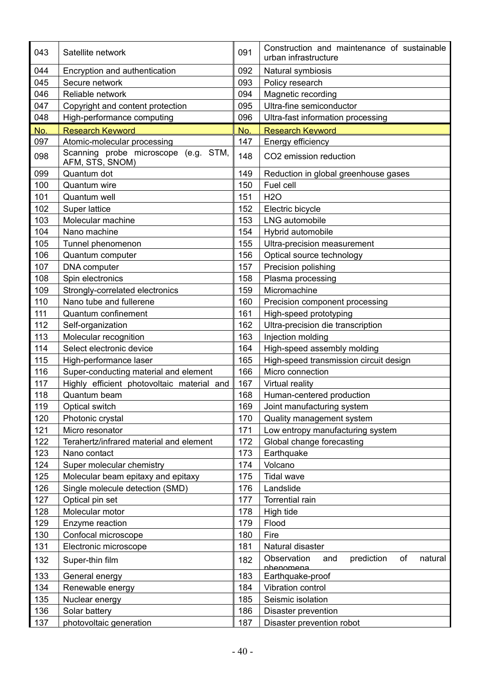| 043 | Satellite network                                       | 091 | Construction and maintenance of sustainable<br>urban infrastructure |  |  |
|-----|---------------------------------------------------------|-----|---------------------------------------------------------------------|--|--|
| 044 | Encryption and authentication                           |     | Natural symbiosis                                                   |  |  |
| 045 | Secure network                                          |     | Policy research                                                     |  |  |
| 046 | Reliable network                                        |     | Magnetic recording                                                  |  |  |
| 047 | Copyright and content protection                        |     | Ultra-fine semiconductor                                            |  |  |
| 048 | High-performance computing                              |     | Ultra-fast information processing                                   |  |  |
| No. | <b>Research Keyword</b>                                 | No. | <b>Research Keyword</b>                                             |  |  |
| 097 | Atomic-molecular processing                             | 147 | <b>Energy efficiency</b>                                            |  |  |
| 098 | Scanning probe microscope (e.g. STM,<br>AFM, STS, SNOM) | 148 | CO2 emission reduction                                              |  |  |
| 099 | Quantum dot                                             | 149 | Reduction in global greenhouse gases                                |  |  |
| 100 | Quantum wire                                            | 150 | Fuel cell                                                           |  |  |
| 101 | Quantum well                                            | 151 | <b>H2O</b>                                                          |  |  |
| 102 | Super lattice                                           |     | Electric bicycle                                                    |  |  |
| 103 | Molecular machine                                       |     | LNG automobile                                                      |  |  |
| 104 | Nano machine                                            |     | Hybrid automobile                                                   |  |  |
| 105 | Tunnel phenomenon                                       |     | Ultra-precision measurement                                         |  |  |
| 106 | Quantum computer                                        | 156 | Optical source technology                                           |  |  |
| 107 | DNA computer                                            | 157 | Precision polishing                                                 |  |  |
| 108 | Spin electronics                                        |     | Plasma processing                                                   |  |  |
| 109 | Strongly-correlated electronics                         | 159 | Micromachine                                                        |  |  |
| 110 | Nano tube and fullerene                                 | 160 | Precision component processing                                      |  |  |
| 111 | Quantum confinement                                     |     | High-speed prototyping                                              |  |  |
| 112 | Self-organization                                       |     | Ultra-precision die transcription                                   |  |  |
| 113 | Molecular recognition                                   | 163 | Injection molding                                                   |  |  |
| 114 | Select electronic device                                |     | High-speed assembly molding                                         |  |  |
| 115 | High-performance laser                                  |     | High-speed transmission circuit design                              |  |  |
| 116 | Super-conducting material and element                   | 166 | Micro connection                                                    |  |  |
| 117 | Highly efficient photovoltaic material and              | 167 | Virtual reality                                                     |  |  |
| 118 | Quantum beam                                            |     | Human-centered production                                           |  |  |
| 119 | Optical switch                                          |     | Joint manufacturing system                                          |  |  |
| 120 | Photonic crystal                                        | 170 | Quality management system                                           |  |  |
| 121 | Micro resonator                                         | 171 | Low entropy manufacturing system                                    |  |  |
| 122 | Terahertz/infrared material and element                 | 172 | Global change forecasting                                           |  |  |
| 123 | Nano contact                                            | 173 | Earthquake                                                          |  |  |
| 124 | Super molecular chemistry                               | 174 | Volcano                                                             |  |  |
| 125 | Molecular beam epitaxy and epitaxy                      | 175 | <b>Tidal wave</b>                                                   |  |  |
| 126 | Single molecule detection (SMD)                         | 176 | Landslide                                                           |  |  |
| 127 | Optical pin set                                         | 177 | Torrential rain                                                     |  |  |
| 128 | Molecular motor                                         | 178 | High tide                                                           |  |  |
| 129 | Enzyme reaction                                         | 179 | Flood                                                               |  |  |
| 130 | Confocal microscope                                     | 180 | Fire                                                                |  |  |
| 131 | Electronic microscope                                   | 181 | Natural disaster                                                    |  |  |
| 132 | Super-thin film                                         | 182 | of<br>prediction<br>Observation<br>natural<br>and<br>nhenomena      |  |  |
| 133 | General energy                                          | 183 | Earthquake-proof                                                    |  |  |
| 134 | Renewable energy                                        | 184 | Vibration control                                                   |  |  |
| 135 | Nuclear energy                                          | 185 | Seismic isolation                                                   |  |  |
| 136 | Solar battery                                           | 186 | Disaster prevention                                                 |  |  |
| 137 | photovoltaic generation                                 | 187 | Disaster prevention robot                                           |  |  |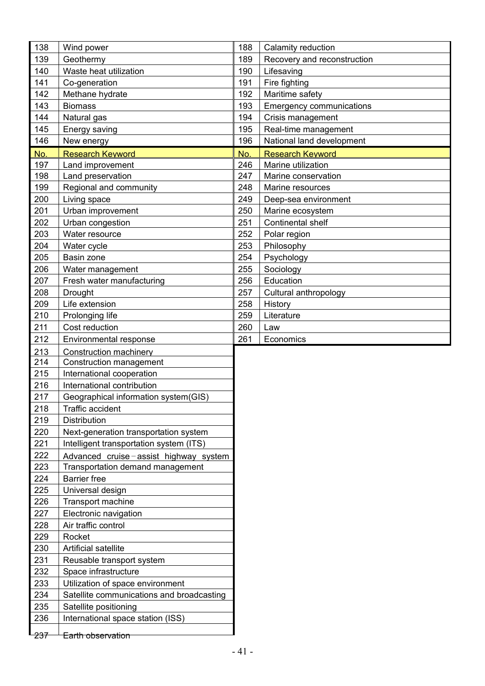| 138 | Wind power                                | 188 | Calamity reduction              |
|-----|-------------------------------------------|-----|---------------------------------|
| 139 | Geothermy                                 | 189 | Recovery and reconstruction     |
| 140 | Waste heat utilization                    | 190 | Lifesaving                      |
| 141 | Co-generation                             | 191 | Fire fighting                   |
| 142 | Methane hydrate                           | 192 | Maritime safety                 |
| 143 | <b>Biomass</b>                            | 193 | <b>Emergency communications</b> |
| 144 | Natural gas                               | 194 | Crisis management               |
| 145 | Energy saving                             | 195 | Real-time management            |
| 146 | New energy                                | 196 | National land development       |
| No. | <b>Research Keyword</b>                   | No. | <b>Research Keyword</b>         |
| 197 | Land improvement                          | 246 | Marine utilization              |
| 198 | Land preservation                         | 247 | Marine conservation             |
| 199 | Regional and community                    | 248 | Marine resources                |
| 200 | Living space                              | 249 | Deep-sea environment            |
| 201 | Urban improvement                         | 250 | Marine ecosystem                |
| 202 | Urban congestion                          | 251 | Continental shelf               |
| 203 | Water resource                            | 252 | Polar region                    |
| 204 | Water cycle                               | 253 | Philosophy                      |
| 205 | Basin zone                                | 254 | Psychology                      |
| 206 | Water management                          | 255 | Sociology                       |
| 207 | Fresh water manufacturing                 | 256 | Education                       |
| 208 | Drought                                   | 257 | Cultural anthropology           |
| 209 | Life extension                            | 258 | History                         |
| 210 | Prolonging life                           | 259 | Literature                      |
| 211 | Cost reduction                            | 260 | Law                             |
| 212 | Environmental response                    | 261 | Economics                       |
| 213 | <b>Construction machinery</b>             |     |                                 |
| 214 | Construction management                   |     |                                 |
| 215 | International cooperation                 |     |                                 |
| 216 | International contribution                |     |                                 |
| 217 | Geographical information system(GIS)      |     |                                 |
| 218 | Traffic accident                          |     |                                 |
| 219 | Distribution                              |     |                                 |
| 220 | Next-generation transportation system     |     |                                 |
| 221 | Intelligent transportation system (ITS)   |     |                                 |
| 222 | Advanced cruise-assist highway system     |     |                                 |
| 223 | Transportation demand management          |     |                                 |
| 224 | <b>Barrier</b> free                       |     |                                 |
| 225 | Universal design                          |     |                                 |
| 226 | Transport machine                         |     |                                 |
| 227 | Electronic navigation                     |     |                                 |
| 228 | Air traffic control                       |     |                                 |
| 229 | Rocket                                    |     |                                 |
| 230 | Artificial satellite                      |     |                                 |
| 231 | Reusable transport system                 |     |                                 |
| 232 | Space infrastructure                      |     |                                 |
| 233 | Utilization of space environment          |     |                                 |
| 234 | Satellite communications and broadcasting |     |                                 |
| 235 | Satellite positioning                     |     |                                 |
| 236 | International space station (ISS)         |     |                                 |
|     |                                           |     |                                 |
| 237 | Earth observation                         |     |                                 |